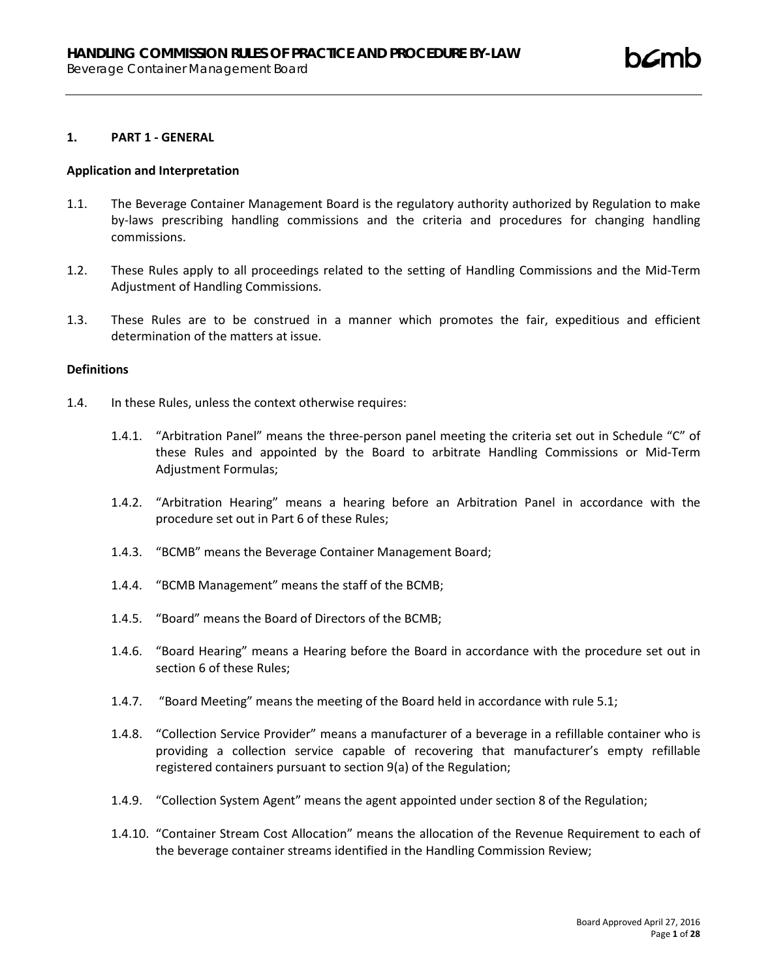#### **1. PART 1 - GENERAL**

#### **Application and Interpretation**

- 1.1. The Beverage Container Management Board is the regulatory authority authorized by Regulation to make by-laws prescribing handling commissions and the criteria and procedures for changing handling commissions.
- 1.2. These Rules apply to all proceedings related to the setting of Handling Commissions and the Mid-Term Adjustment of Handling Commissions.
- 1.3. These Rules are to be construed in a manner which promotes the fair, expeditious and efficient determination of the matters at issue.

# **Definitions**

- 1.4. In these Rules, unless the context otherwise requires:
	- 1.4.1. "Arbitration Panel" means the three-person panel meeting the criteria set out in Schedule "C" of these Rules and appointed by the Board to arbitrate Handling Commissions or Mid-Term Adjustment Formulas;
	- 1.4.2. "Arbitration Hearing" means a hearing before an Arbitration Panel in accordance with the procedure set out in Part 6 of these Rules;
	- 1.4.3. "BCMB" means the Beverage Container Management Board;
	- 1.4.4. "BCMB Management" means the staff of the BCMB;
	- 1.4.5. "Board" means the Board of Directors of the BCMB;
	- 1.4.6. "Board Hearing" means a Hearing before the Board in accordance with the procedure set out in section 6 of these Rules;
	- 1.4.7. "Board Meeting" means the meeting of the Board held in accordance with rule 5.1;
	- 1.4.8. "Collection Service Provider" means a manufacturer of a beverage in a refillable container who is providing a collection service capable of recovering that manufacturer's empty refillable registered containers pursuant to section 9(a) of the Regulation;
	- 1.4.9. "Collection System Agent" means the agent appointed under section 8 of the Regulation;
	- 1.4.10. "Container Stream Cost Allocation" means the allocation of the Revenue Requirement to each of the beverage container streams identified in the Handling Commission Review;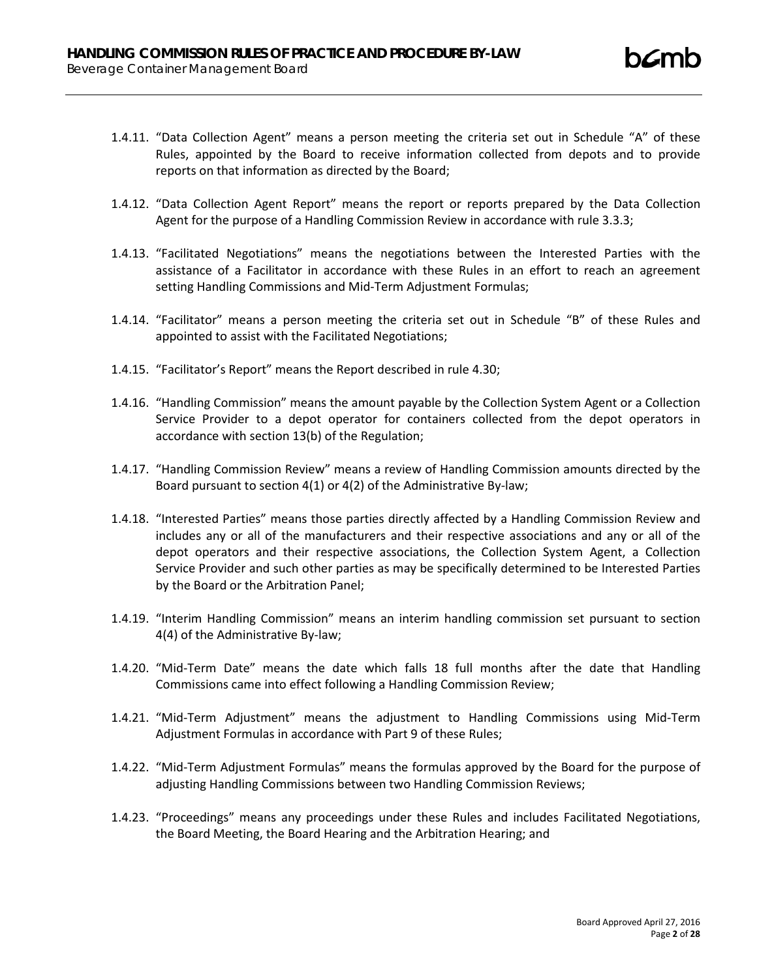- 1.4.11. "Data Collection Agent" means a person meeting the criteria set out in Schedule "A" of these Rules, appointed by the Board to receive information collected from depots and to provide reports on that information as directed by the Board;
- 1.4.12. "Data Collection Agent Report" means the report or reports prepared by the Data Collection Agent for the purpose of a Handling Commission Review in accordance with rule 3.3.3;
- 1.4.13. "Facilitated Negotiations" means the negotiations between the Interested Parties with the assistance of a Facilitator in accordance with these Rules in an effort to reach an agreement setting Handling Commissions and Mid-Term Adjustment Formulas;
- 1.4.14. "Facilitator" means a person meeting the criteria set out in Schedule "B" of these Rules and appointed to assist with the Facilitated Negotiations;
- 1.4.15. "Facilitator's Report" means the Report described in rule 4.30;
- 1.4.16. "Handling Commission" means the amount payable by the Collection System Agent or a Collection Service Provider to a depot operator for containers collected from the depot operators in accordance with section 13(b) of the Regulation;
- 1.4.17. "Handling Commission Review" means a review of Handling Commission amounts directed by the Board pursuant to section 4(1) or 4(2) of the Administrative By-law;
- 1.4.18. "Interested Parties" means those parties directly affected by a Handling Commission Review and includes any or all of the manufacturers and their respective associations and any or all of the depot operators and their respective associations, the Collection System Agent, a Collection Service Provider and such other parties as may be specifically determined to be Interested Parties by the Board or the Arbitration Panel;
- 1.4.19. "Interim Handling Commission" means an interim handling commission set pursuant to section 4(4) of the Administrative By-law;
- 1.4.20. "Mid-Term Date" means the date which falls 18 full months after the date that Handling Commissions came into effect following a Handling Commission Review;
- 1.4.21. "Mid-Term Adjustment" means the adjustment to Handling Commissions using Mid-Term Adjustment Formulas in accordance with Part 9 of these Rules;
- 1.4.22. "Mid-Term Adjustment Formulas" means the formulas approved by the Board for the purpose of adjusting Handling Commissions between two Handling Commission Reviews;
- 1.4.23. "Proceedings" means any proceedings under these Rules and includes Facilitated Negotiations, the Board Meeting, the Board Hearing and the Arbitration Hearing; and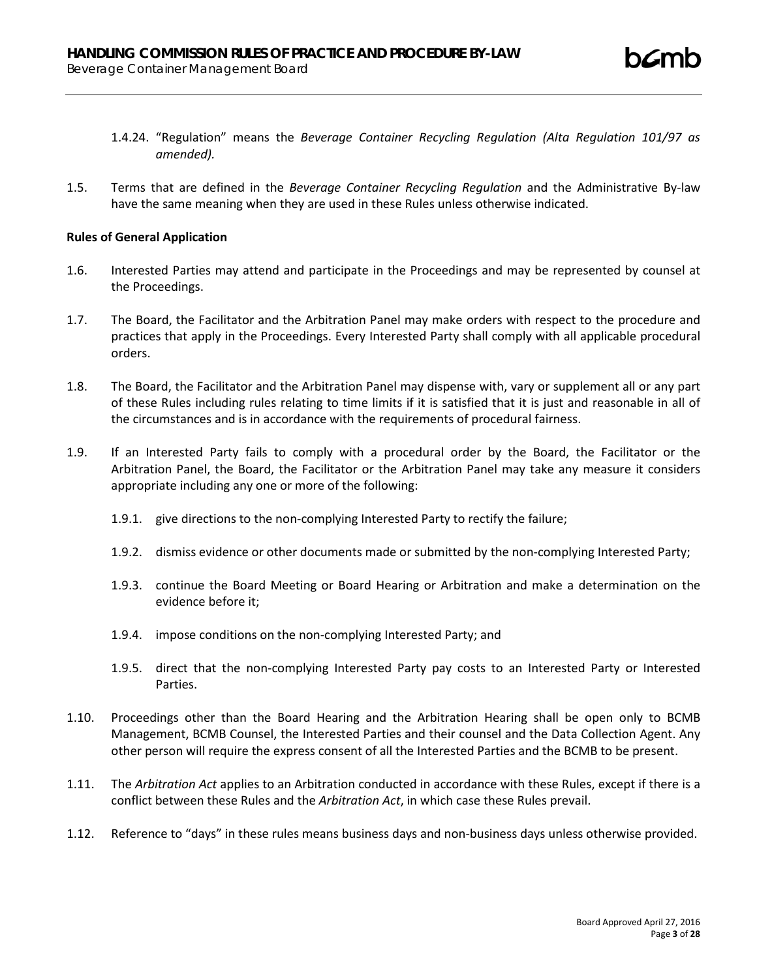- 1.4.24. "Regulation" means the *Beverage Container Recycling Regulation (Alta Regulation 101/97 as amended).*
- 1.5. Terms that are defined in the *Beverage Container Recycling Regulation* and the Administrative By-law have the same meaning when they are used in these Rules unless otherwise indicated.

## **Rules of General Application**

- 1.6. Interested Parties may attend and participate in the Proceedings and may be represented by counsel at the Proceedings.
- 1.7. The Board, the Facilitator and the Arbitration Panel may make orders with respect to the procedure and practices that apply in the Proceedings. Every Interested Party shall comply with all applicable procedural orders.
- 1.8. The Board, the Facilitator and the Arbitration Panel may dispense with, vary or supplement all or any part of these Rules including rules relating to time limits if it is satisfied that it is just and reasonable in all of the circumstances and is in accordance with the requirements of procedural fairness.
- 1.9. If an Interested Party fails to comply with a procedural order by the Board, the Facilitator or the Arbitration Panel, the Board, the Facilitator or the Arbitration Panel may take any measure it considers appropriate including any one or more of the following:
	- 1.9.1. give directions to the non-complying Interested Party to rectify the failure;
	- 1.9.2. dismiss evidence or other documents made or submitted by the non-complying Interested Party;
	- 1.9.3. continue the Board Meeting or Board Hearing or Arbitration and make a determination on the evidence before it;
	- 1.9.4. impose conditions on the non-complying Interested Party; and
	- 1.9.5. direct that the non-complying Interested Party pay costs to an Interested Party or Interested Parties.
- 1.10. Proceedings other than the Board Hearing and the Arbitration Hearing shall be open only to BCMB Management, BCMB Counsel, the Interested Parties and their counsel and the Data Collection Agent. Any other person will require the express consent of all the Interested Parties and the BCMB to be present.
- 1.11. The *Arbitration Act* applies to an Arbitration conducted in accordance with these Rules, except if there is a conflict between these Rules and the *Arbitration Act*, in which case these Rules prevail.
- 1.12. Reference to "days" in these rules means business days and non-business days unless otherwise provided.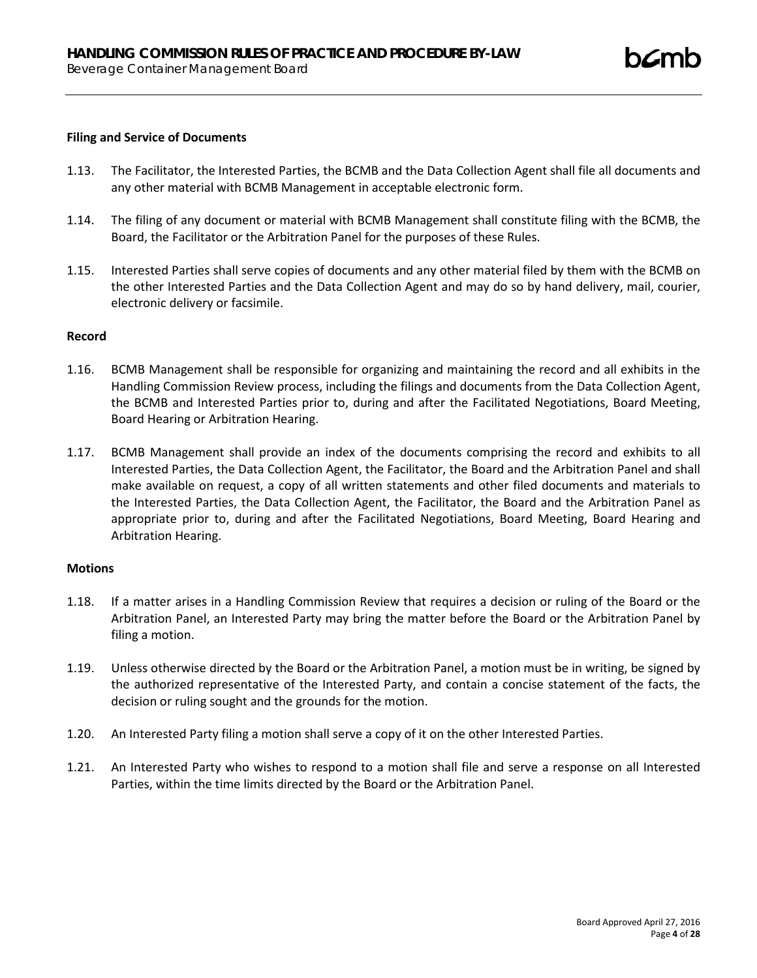### **Filing and Service of Documents**

- 1.13. The Facilitator, the Interested Parties, the BCMB and the Data Collection Agent shall file all documents and any other material with BCMB Management in acceptable electronic form.
- 1.14. The filing of any document or material with BCMB Management shall constitute filing with the BCMB, the Board, the Facilitator or the Arbitration Panel for the purposes of these Rules.
- 1.15. Interested Parties shall serve copies of documents and any other material filed by them with the BCMB on the other Interested Parties and the Data Collection Agent and may do so by hand delivery, mail, courier, electronic delivery or facsimile.

#### **Record**

- 1.16. BCMB Management shall be responsible for organizing and maintaining the record and all exhibits in the Handling Commission Review process, including the filings and documents from the Data Collection Agent, the BCMB and Interested Parties prior to, during and after the Facilitated Negotiations, Board Meeting, Board Hearing or Arbitration Hearing.
- 1.17. BCMB Management shall provide an index of the documents comprising the record and exhibits to all Interested Parties, the Data Collection Agent, the Facilitator, the Board and the Arbitration Panel and shall make available on request, a copy of all written statements and other filed documents and materials to the Interested Parties, the Data Collection Agent, the Facilitator, the Board and the Arbitration Panel as appropriate prior to, during and after the Facilitated Negotiations, Board Meeting, Board Hearing and Arbitration Hearing.

#### **Motions**

- 1.18. If a matter arises in a Handling Commission Review that requires a decision or ruling of the Board or the Arbitration Panel, an Interested Party may bring the matter before the Board or the Arbitration Panel by filing a motion.
- 1.19. Unless otherwise directed by the Board or the Arbitration Panel, a motion must be in writing, be signed by the authorized representative of the Interested Party, and contain a concise statement of the facts, the decision or ruling sought and the grounds for the motion.
- 1.20. An Interested Party filing a motion shall serve a copy of it on the other Interested Parties.
- 1.21. An Interested Party who wishes to respond to a motion shall file and serve a response on all Interested Parties, within the time limits directed by the Board or the Arbitration Panel.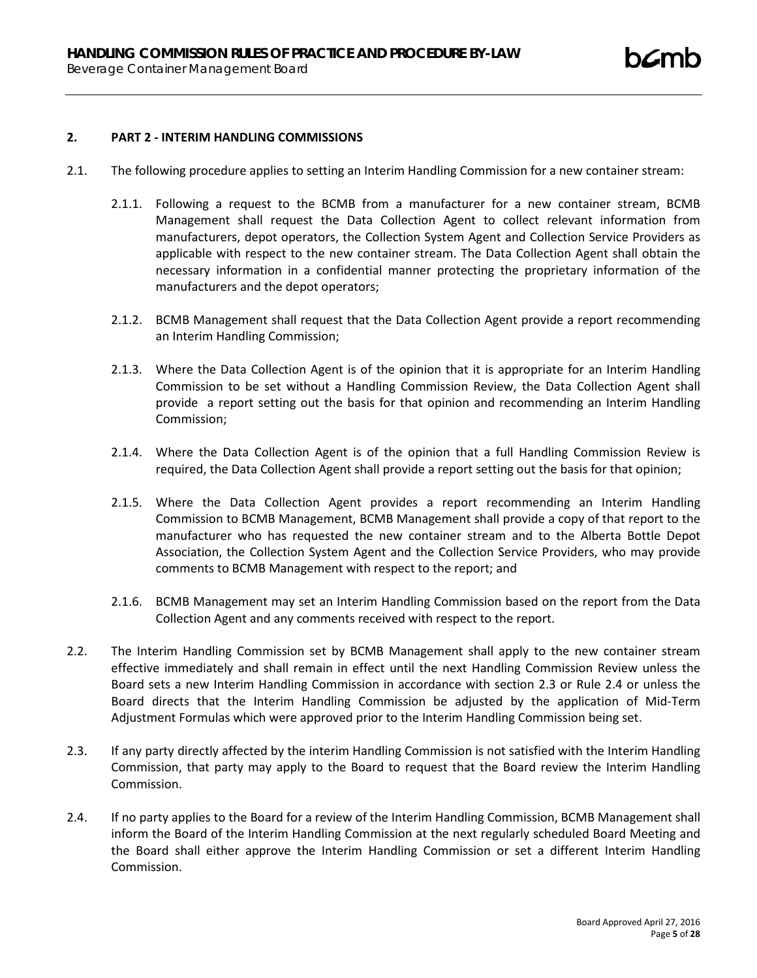### **2. PART 2 - INTERIM HANDLING COMMISSIONS**

- 2.1. The following procedure applies to setting an Interim Handling Commission for a new container stream:
	- 2.1.1. Following a request to the BCMB from a manufacturer for a new container stream, BCMB Management shall request the Data Collection Agent to collect relevant information from manufacturers, depot operators, the Collection System Agent and Collection Service Providers as applicable with respect to the new container stream. The Data Collection Agent shall obtain the necessary information in a confidential manner protecting the proprietary information of the manufacturers and the depot operators;
	- 2.1.2. BCMB Management shall request that the Data Collection Agent provide a report recommending an Interim Handling Commission;
	- 2.1.3. Where the Data Collection Agent is of the opinion that it is appropriate for an Interim Handling Commission to be set without a Handling Commission Review, the Data Collection Agent shall provide a report setting out the basis for that opinion and recommending an Interim Handling Commission;
	- 2.1.4. Where the Data Collection Agent is of the opinion that a full Handling Commission Review is required, the Data Collection Agent shall provide a report setting out the basis for that opinion;
	- 2.1.5. Where the Data Collection Agent provides a report recommending an Interim Handling Commission to BCMB Management, BCMB Management shall provide a copy of that report to the manufacturer who has requested the new container stream and to the Alberta Bottle Depot Association, the Collection System Agent and the Collection Service Providers, who may provide comments to BCMB Management with respect to the report; and
	- 2.1.6. BCMB Management may set an Interim Handling Commission based on the report from the Data Collection Agent and any comments received with respect to the report.
- 2.2. The Interim Handling Commission set by BCMB Management shall apply to the new container stream effective immediately and shall remain in effect until the next Handling Commission Review unless the Board sets a new Interim Handling Commission in accordance with section 2.3 or Rule 2.4 or unless the Board directs that the Interim Handling Commission be adjusted by the application of Mid-Term Adjustment Formulas which were approved prior to the Interim Handling Commission being set.
- 2.3. If any party directly affected by the interim Handling Commission is not satisfied with the Interim Handling Commission, that party may apply to the Board to request that the Board review the Interim Handling Commission.
- 2.4. If no party applies to the Board for a review of the Interim Handling Commission, BCMB Management shall inform the Board of the Interim Handling Commission at the next regularly scheduled Board Meeting and the Board shall either approve the Interim Handling Commission or set a different Interim Handling Commission.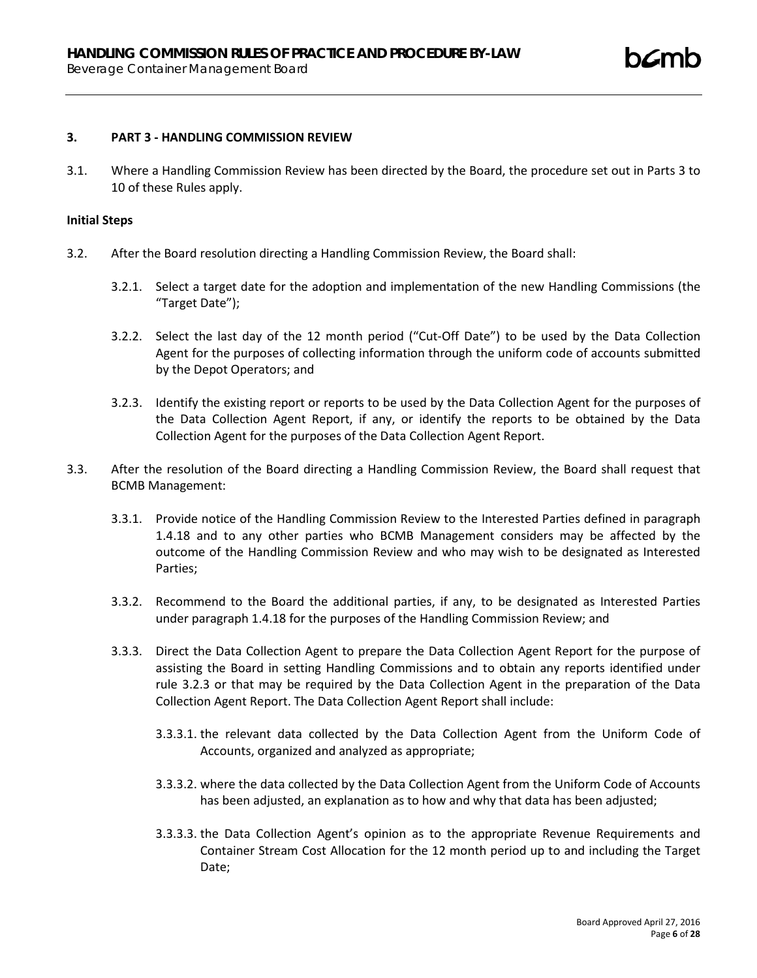#### **3. PART 3 - HANDLING COMMISSION REVIEW**

3.1. Where a Handling Commission Review has been directed by the Board, the procedure set out in Parts 3 to 10 of these Rules apply.

#### **Initial Steps**

- 3.2. After the Board resolution directing a Handling Commission Review, the Board shall:
	- 3.2.1. Select a target date for the adoption and implementation of the new Handling Commissions (the "Target Date");
	- 3.2.2. Select the last day of the 12 month period ("Cut-Off Date") to be used by the Data Collection Agent for the purposes of collecting information through the uniform code of accounts submitted by the Depot Operators; and
	- 3.2.3. Identify the existing report or reports to be used by the Data Collection Agent for the purposes of the Data Collection Agent Report, if any, or identify the reports to be obtained by the Data Collection Agent for the purposes of the Data Collection Agent Report.
- 3.3. After the resolution of the Board directing a Handling Commission Review, the Board shall request that BCMB Management:
	- 3.3.1. Provide notice of the Handling Commission Review to the Interested Parties defined in paragraph 1.4.18 and to any other parties who BCMB Management considers may be affected by the outcome of the Handling Commission Review and who may wish to be designated as Interested Parties;
	- 3.3.2. Recommend to the Board the additional parties, if any, to be designated as Interested Parties under paragraph 1.4.18 for the purposes of the Handling Commission Review; and
	- 3.3.3. Direct the Data Collection Agent to prepare the Data Collection Agent Report for the purpose of assisting the Board in setting Handling Commissions and to obtain any reports identified under rule 3.2.3 or that may be required by the Data Collection Agent in the preparation of the Data Collection Agent Report. The Data Collection Agent Report shall include:
		- 3.3.3.1. the relevant data collected by the Data Collection Agent from the Uniform Code of Accounts, organized and analyzed as appropriate;
		- 3.3.3.2. where the data collected by the Data Collection Agent from the Uniform Code of Accounts has been adjusted, an explanation as to how and why that data has been adjusted;
		- 3.3.3.3. the Data Collection Agent's opinion as to the appropriate Revenue Requirements and Container Stream Cost Allocation for the 12 month period up to and including the Target Date;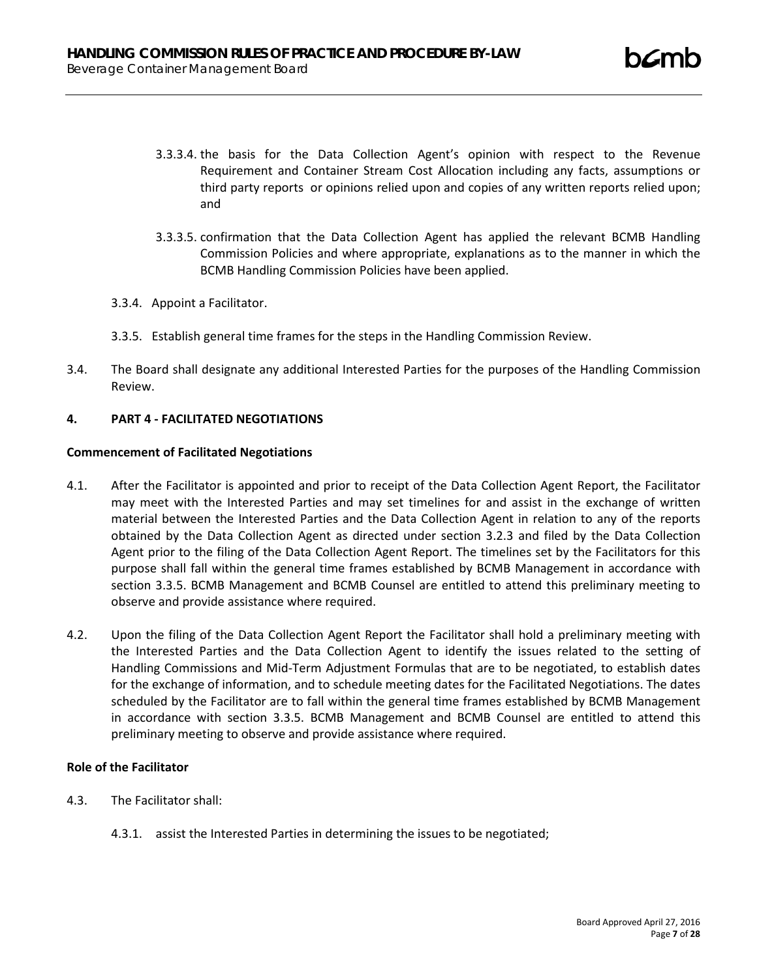- 3.3.3.4. the basis for the Data Collection Agent's opinion with respect to the Revenue Requirement and Container Stream Cost Allocation including any facts, assumptions or third party reports or opinions relied upon and copies of any written reports relied upon; and
- 3.3.3.5. confirmation that the Data Collection Agent has applied the relevant BCMB Handling Commission Policies and where appropriate, explanations as to the manner in which the BCMB Handling Commission Policies have been applied.
- 3.3.4. Appoint a Facilitator.
- 3.3.5. Establish general time frames for the steps in the Handling Commission Review.
- 3.4. The Board shall designate any additional Interested Parties for the purposes of the Handling Commission Review.

## **4. PART 4 - FACILITATED NEGOTIATIONS**

### **Commencement of Facilitated Negotiations**

- 4.1. After the Facilitator is appointed and prior to receipt of the Data Collection Agent Report, the Facilitator may meet with the Interested Parties and may set timelines for and assist in the exchange of written material between the Interested Parties and the Data Collection Agent in relation to any of the reports obtained by the Data Collection Agent as directed under section 3.2.3 and filed by the Data Collection Agent prior to the filing of the Data Collection Agent Report. The timelines set by the Facilitators for this purpose shall fall within the general time frames established by BCMB Management in accordance with section 3.3.5. BCMB Management and BCMB Counsel are entitled to attend this preliminary meeting to observe and provide assistance where required.
- 4.2. Upon the filing of the Data Collection Agent Report the Facilitator shall hold a preliminary meeting with the Interested Parties and the Data Collection Agent to identify the issues related to the setting of Handling Commissions and Mid-Term Adjustment Formulas that are to be negotiated, to establish dates for the exchange of information, and to schedule meeting dates for the Facilitated Negotiations. The dates scheduled by the Facilitator are to fall within the general time frames established by BCMB Management in accordance with section 3.3.5. BCMB Management and BCMB Counsel are entitled to attend this preliminary meeting to observe and provide assistance where required.

## **Role of the Facilitator**

- 4.3. The Facilitator shall:
	- 4.3.1. assist the Interested Parties in determining the issues to be negotiated;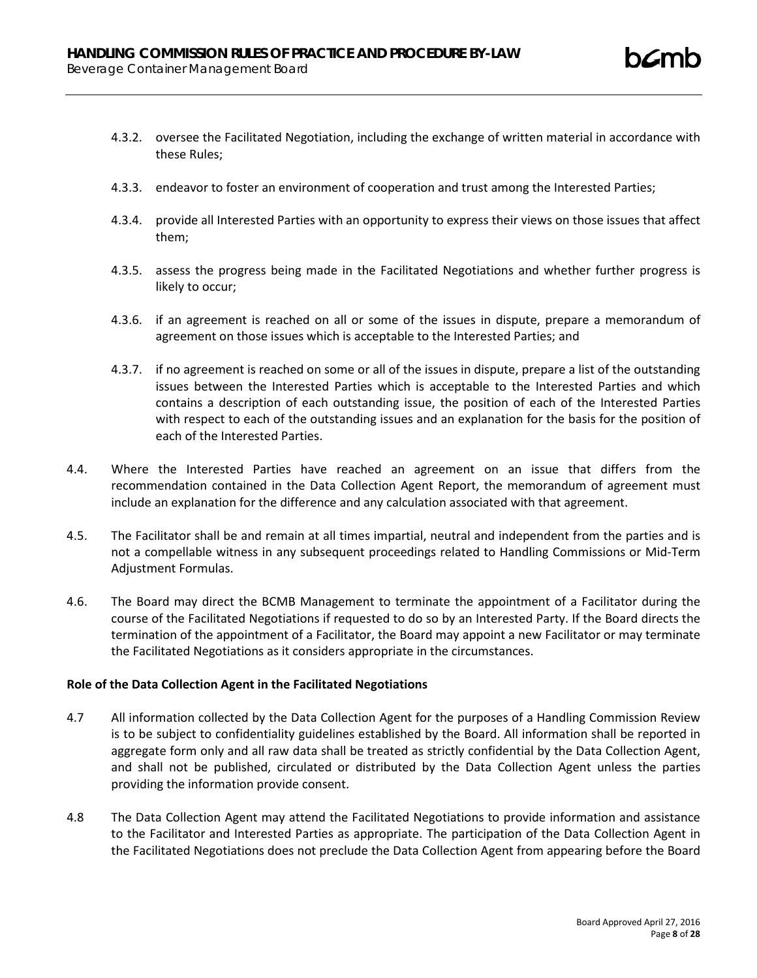- 4.3.2. oversee the Facilitated Negotiation, including the exchange of written material in accordance with these Rules;
- 4.3.3. endeavor to foster an environment of cooperation and trust among the Interested Parties;
- 4.3.4. provide all Interested Parties with an opportunity to express their views on those issues that affect them;
- 4.3.5. assess the progress being made in the Facilitated Negotiations and whether further progress is likely to occur;
- 4.3.6. if an agreement is reached on all or some of the issues in dispute, prepare a memorandum of agreement on those issues which is acceptable to the Interested Parties; and
- 4.3.7. if no agreement is reached on some or all of the issues in dispute, prepare a list of the outstanding issues between the Interested Parties which is acceptable to the Interested Parties and which contains a description of each outstanding issue, the position of each of the Interested Parties with respect to each of the outstanding issues and an explanation for the basis for the position of each of the Interested Parties.
- 4.4. Where the Interested Parties have reached an agreement on an issue that differs from the recommendation contained in the Data Collection Agent Report, the memorandum of agreement must include an explanation for the difference and any calculation associated with that agreement.
- 4.5. The Facilitator shall be and remain at all times impartial, neutral and independent from the parties and is not a compellable witness in any subsequent proceedings related to Handling Commissions or Mid-Term Adjustment Formulas.
- 4.6. The Board may direct the BCMB Management to terminate the appointment of a Facilitator during the course of the Facilitated Negotiations if requested to do so by an Interested Party. If the Board directs the termination of the appointment of a Facilitator, the Board may appoint a new Facilitator or may terminate the Facilitated Negotiations as it considers appropriate in the circumstances.

## **Role of the Data Collection Agent in the Facilitated Negotiations**

- 4.7 All information collected by the Data Collection Agent for the purposes of a Handling Commission Review is to be subject to confidentiality guidelines established by the Board. All information shall be reported in aggregate form only and all raw data shall be treated as strictly confidential by the Data Collection Agent, and shall not be published, circulated or distributed by the Data Collection Agent unless the parties providing the information provide consent.
- 4.8 The Data Collection Agent may attend the Facilitated Negotiations to provide information and assistance to the Facilitator and Interested Parties as appropriate. The participation of the Data Collection Agent in the Facilitated Negotiations does not preclude the Data Collection Agent from appearing before the Board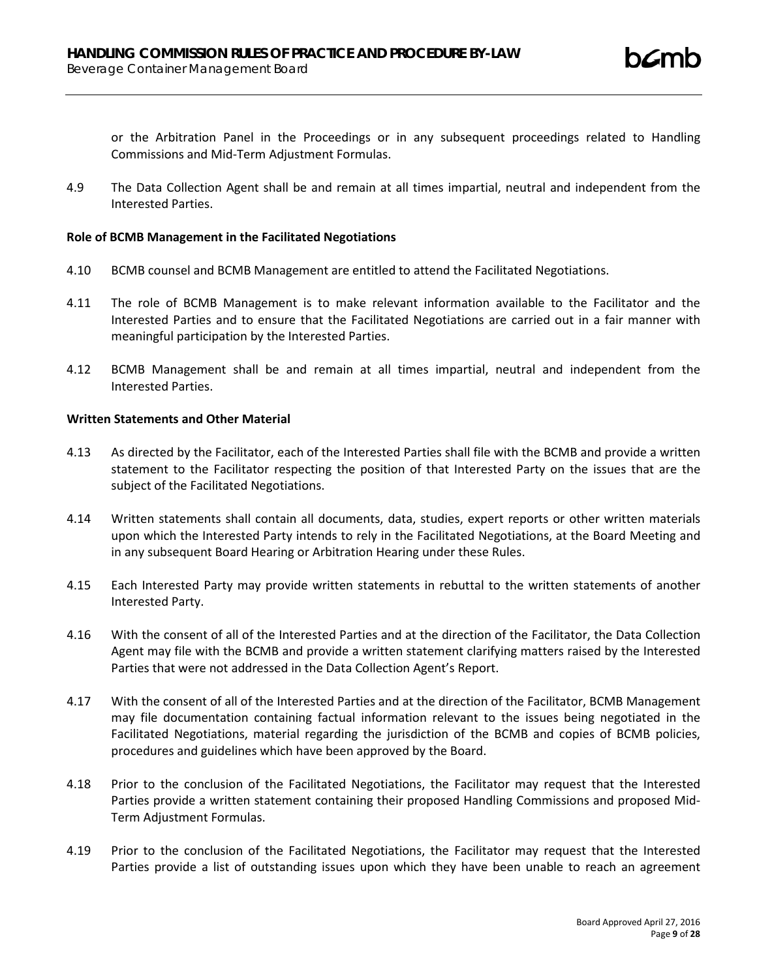or the Arbitration Panel in the Proceedings or in any subsequent proceedings related to Handling Commissions and Mid-Term Adjustment Formulas.

4.9 The Data Collection Agent shall be and remain at all times impartial, neutral and independent from the Interested Parties.

### **Role of BCMB Management in the Facilitated Negotiations**

- 4.10 BCMB counsel and BCMB Management are entitled to attend the Facilitated Negotiations.
- 4.11 The role of BCMB Management is to make relevant information available to the Facilitator and the Interested Parties and to ensure that the Facilitated Negotiations are carried out in a fair manner with meaningful participation by the Interested Parties.
- 4.12 BCMB Management shall be and remain at all times impartial, neutral and independent from the Interested Parties.

#### **Written Statements and Other Material**

- 4.13 As directed by the Facilitator, each of the Interested Parties shall file with the BCMB and provide a written statement to the Facilitator respecting the position of that Interested Party on the issues that are the subject of the Facilitated Negotiations.
- 4.14 Written statements shall contain all documents, data, studies, expert reports or other written materials upon which the Interested Party intends to rely in the Facilitated Negotiations, at the Board Meeting and in any subsequent Board Hearing or Arbitration Hearing under these Rules.
- 4.15 Each Interested Party may provide written statements in rebuttal to the written statements of another Interested Party.
- 4.16 With the consent of all of the Interested Parties and at the direction of the Facilitator, the Data Collection Agent may file with the BCMB and provide a written statement clarifying matters raised by the Interested Parties that were not addressed in the Data Collection Agent's Report.
- 4.17 With the consent of all of the Interested Parties and at the direction of the Facilitator, BCMB Management may file documentation containing factual information relevant to the issues being negotiated in the Facilitated Negotiations, material regarding the jurisdiction of the BCMB and copies of BCMB policies, procedures and guidelines which have been approved by the Board.
- 4.18 Prior to the conclusion of the Facilitated Negotiations, the Facilitator may request that the Interested Parties provide a written statement containing their proposed Handling Commissions and proposed Mid-Term Adjustment Formulas.
- 4.19 Prior to the conclusion of the Facilitated Negotiations, the Facilitator may request that the Interested Parties provide a list of outstanding issues upon which they have been unable to reach an agreement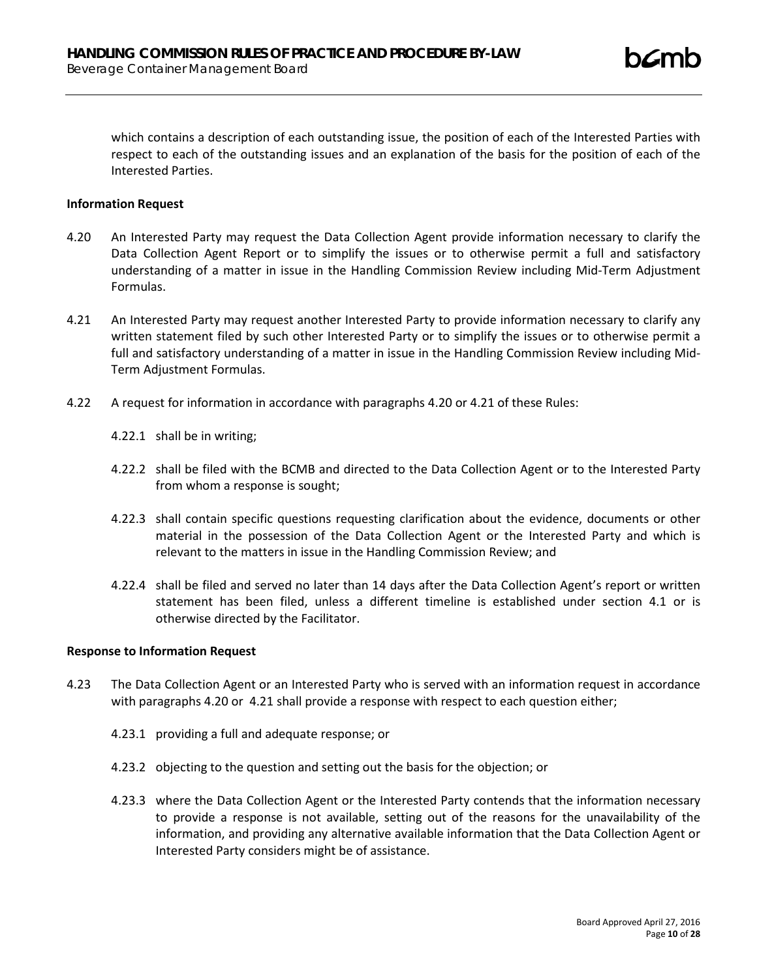which contains a description of each outstanding issue, the position of each of the Interested Parties with respect to each of the outstanding issues and an explanation of the basis for the position of each of the Interested Parties.

### **Information Request**

- 4.20 An Interested Party may request the Data Collection Agent provide information necessary to clarify the Data Collection Agent Report or to simplify the issues or to otherwise permit a full and satisfactory understanding of a matter in issue in the Handling Commission Review including Mid-Term Adjustment Formulas.
- 4.21 An Interested Party may request another Interested Party to provide information necessary to clarify any written statement filed by such other Interested Party or to simplify the issues or to otherwise permit a full and satisfactory understanding of a matter in issue in the Handling Commission Review including Mid-Term Adjustment Formulas.
- 4.22 A request for information in accordance with paragraphs 4.20 or 4.21 of these Rules:
	- 4.22.1 shall be in writing;
	- 4.22.2 shall be filed with the BCMB and directed to the Data Collection Agent or to the Interested Party from whom a response is sought;
	- 4.22.3 shall contain specific questions requesting clarification about the evidence, documents or other material in the possession of the Data Collection Agent or the Interested Party and which is relevant to the matters in issue in the Handling Commission Review; and
	- 4.22.4 shall be filed and served no later than 14 days after the Data Collection Agent's report or written statement has been filed, unless a different timeline is established under section 4.1 or is otherwise directed by the Facilitator.

#### **Response to Information Request**

- 4.23 The Data Collection Agent or an Interested Party who is served with an information request in accordance with paragraphs 4.20 or 4.21 shall provide a response with respect to each question either;
	- 4.23.1 providing a full and adequate response; or
	- 4.23.2 objecting to the question and setting out the basis for the objection; or
	- 4.23.3 where the Data Collection Agent or the Interested Party contends that the information necessary to provide a response is not available, setting out of the reasons for the unavailability of the information, and providing any alternative available information that the Data Collection Agent or Interested Party considers might be of assistance.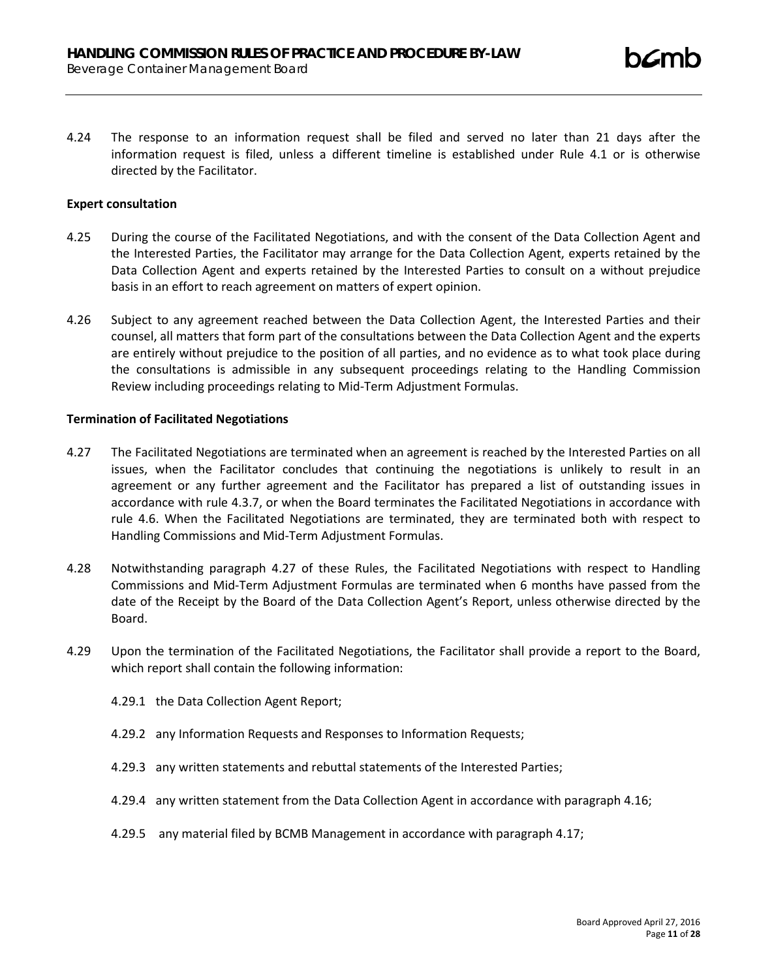4.24 The response to an information request shall be filed and served no later than 21 days after the information request is filed, unless a different timeline is established under Rule 4.1 or is otherwise directed by the Facilitator.

### **Expert consultation**

- 4.25 During the course of the Facilitated Negotiations, and with the consent of the Data Collection Agent and the Interested Parties, the Facilitator may arrange for the Data Collection Agent, experts retained by the Data Collection Agent and experts retained by the Interested Parties to consult on a without prejudice basis in an effort to reach agreement on matters of expert opinion.
- 4.26 Subject to any agreement reached between the Data Collection Agent, the Interested Parties and their counsel, all matters that form part of the consultations between the Data Collection Agent and the experts are entirely without prejudice to the position of all parties, and no evidence as to what took place during the consultations is admissible in any subsequent proceedings relating to the Handling Commission Review including proceedings relating to Mid-Term Adjustment Formulas.

#### **Termination of Facilitated Negotiations**

- 4.27 The Facilitated Negotiations are terminated when an agreement is reached by the Interested Parties on all issues, when the Facilitator concludes that continuing the negotiations is unlikely to result in an agreement or any further agreement and the Facilitator has prepared a list of outstanding issues in accordance with rule 4.3.7, or when the Board terminates the Facilitated Negotiations in accordance with rule 4.6. When the Facilitated Negotiations are terminated, they are terminated both with respect to Handling Commissions and Mid-Term Adjustment Formulas.
- 4.28 Notwithstanding paragraph 4.27 of these Rules, the Facilitated Negotiations with respect to Handling Commissions and Mid-Term Adjustment Formulas are terminated when 6 months have passed from the date of the Receipt by the Board of the Data Collection Agent's Report, unless otherwise directed by the Board.
- 4.29 Upon the termination of the Facilitated Negotiations, the Facilitator shall provide a report to the Board, which report shall contain the following information:
	- 4.29.1 the Data Collection Agent Report;
	- 4.29.2 any Information Requests and Responses to Information Requests;
	- 4.29.3 any written statements and rebuttal statements of the Interested Parties;
	- 4.29.4 any written statement from the Data Collection Agent in accordance with paragraph 4.16;
	- 4.29.5 any material filed by BCMB Management in accordance with paragraph 4.17;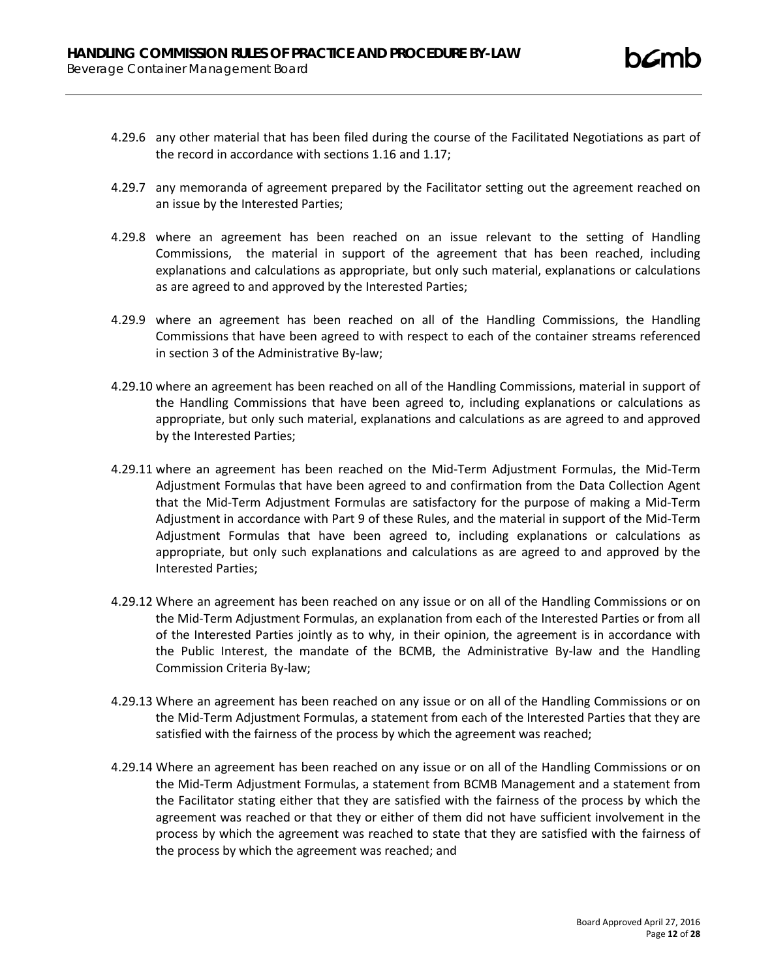- 4.29.6 any other material that has been filed during the course of the Facilitated Negotiations as part of the record in accordance with sections 1.16 and 1.17;
- 4.29.7 any memoranda of agreement prepared by the Facilitator setting out the agreement reached on an issue by the Interested Parties;
- 4.29.8 where an agreement has been reached on an issue relevant to the setting of Handling Commissions, the material in support of the agreement that has been reached, including explanations and calculations as appropriate, but only such material, explanations or calculations as are agreed to and approved by the Interested Parties;
- 4.29.9 where an agreement has been reached on all of the Handling Commissions, the Handling Commissions that have been agreed to with respect to each of the container streams referenced in section 3 of the Administrative By-law;
- 4.29.10 where an agreement has been reached on all of the Handling Commissions, material in support of the Handling Commissions that have been agreed to, including explanations or calculations as appropriate, but only such material, explanations and calculations as are agreed to and approved by the Interested Parties;
- 4.29.11 where an agreement has been reached on the Mid-Term Adjustment Formulas, the Mid-Term Adjustment Formulas that have been agreed to and confirmation from the Data Collection Agent that the Mid-Term Adjustment Formulas are satisfactory for the purpose of making a Mid-Term Adjustment in accordance with Part 9 of these Rules, and the material in support of the Mid-Term Adjustment Formulas that have been agreed to, including explanations or calculations as appropriate, but only such explanations and calculations as are agreed to and approved by the Interested Parties;
- 4.29.12 Where an agreement has been reached on any issue or on all of the Handling Commissions or on the Mid-Term Adjustment Formulas, an explanation from each of the Interested Parties or from all of the Interested Parties jointly as to why, in their opinion, the agreement is in accordance with the Public Interest, the mandate of the BCMB, the Administrative By-law and the Handling Commission Criteria By-law;
- 4.29.13 Where an agreement has been reached on any issue or on all of the Handling Commissions or on the Mid-Term Adjustment Formulas, a statement from each of the Interested Parties that they are satisfied with the fairness of the process by which the agreement was reached;
- 4.29.14 Where an agreement has been reached on any issue or on all of the Handling Commissions or on the Mid-Term Adjustment Formulas, a statement from BCMB Management and a statement from the Facilitator stating either that they are satisfied with the fairness of the process by which the agreement was reached or that they or either of them did not have sufficient involvement in the process by which the agreement was reached to state that they are satisfied with the fairness of the process by which the agreement was reached; and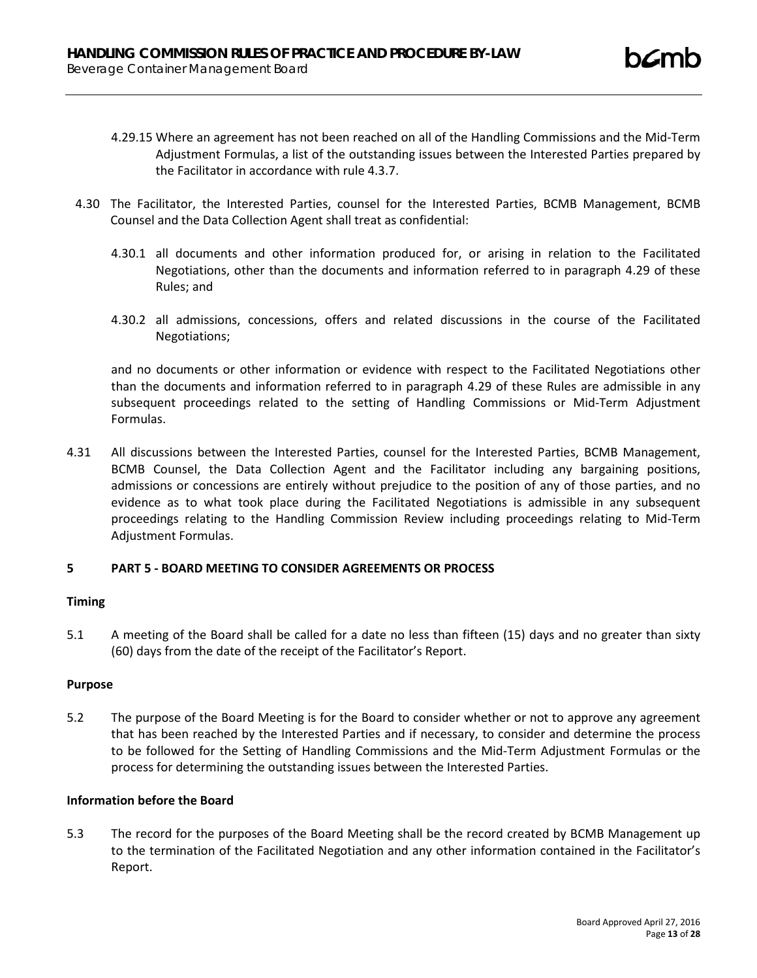- 4.29.15 Where an agreement has not been reached on all of the Handling Commissions and the Mid-Term Adjustment Formulas, a list of the outstanding issues between the Interested Parties prepared by the Facilitator in accordance with rule 4.3.7.
- 4.30 The Facilitator, the Interested Parties, counsel for the Interested Parties, BCMB Management, BCMB Counsel and the Data Collection Agent shall treat as confidential:
	- 4.30.1 all documents and other information produced for, or arising in relation to the Facilitated Negotiations, other than the documents and information referred to in paragraph 4.29 of these Rules; and
	- 4.30.2 all admissions, concessions, offers and related discussions in the course of the Facilitated Negotiations;

and no documents or other information or evidence with respect to the Facilitated Negotiations other than the documents and information referred to in paragraph 4.29 of these Rules are admissible in any subsequent proceedings related to the setting of Handling Commissions or Mid-Term Adjustment Formulas.

4.31 All discussions between the Interested Parties, counsel for the Interested Parties, BCMB Management, BCMB Counsel, the Data Collection Agent and the Facilitator including any bargaining positions, admissions or concessions are entirely without prejudice to the position of any of those parties, and no evidence as to what took place during the Facilitated Negotiations is admissible in any subsequent proceedings relating to the Handling Commission Review including proceedings relating to Mid-Term Adjustment Formulas.

# **5 PART 5 - BOARD MEETING TO CONSIDER AGREEMENTS OR PROCESS**

# **Timing**

5.1 A meeting of the Board shall be called for a date no less than fifteen (15) days and no greater than sixty (60) days from the date of the receipt of the Facilitator's Report.

### **Purpose**

5.2 The purpose of the Board Meeting is for the Board to consider whether or not to approve any agreement that has been reached by the Interested Parties and if necessary, to consider and determine the process to be followed for the Setting of Handling Commissions and the Mid-Term Adjustment Formulas or the process for determining the outstanding issues between the Interested Parties.

### **Information before the Board**

5.3 The record for the purposes of the Board Meeting shall be the record created by BCMB Management up to the termination of the Facilitated Negotiation and any other information contained in the Facilitator's Report.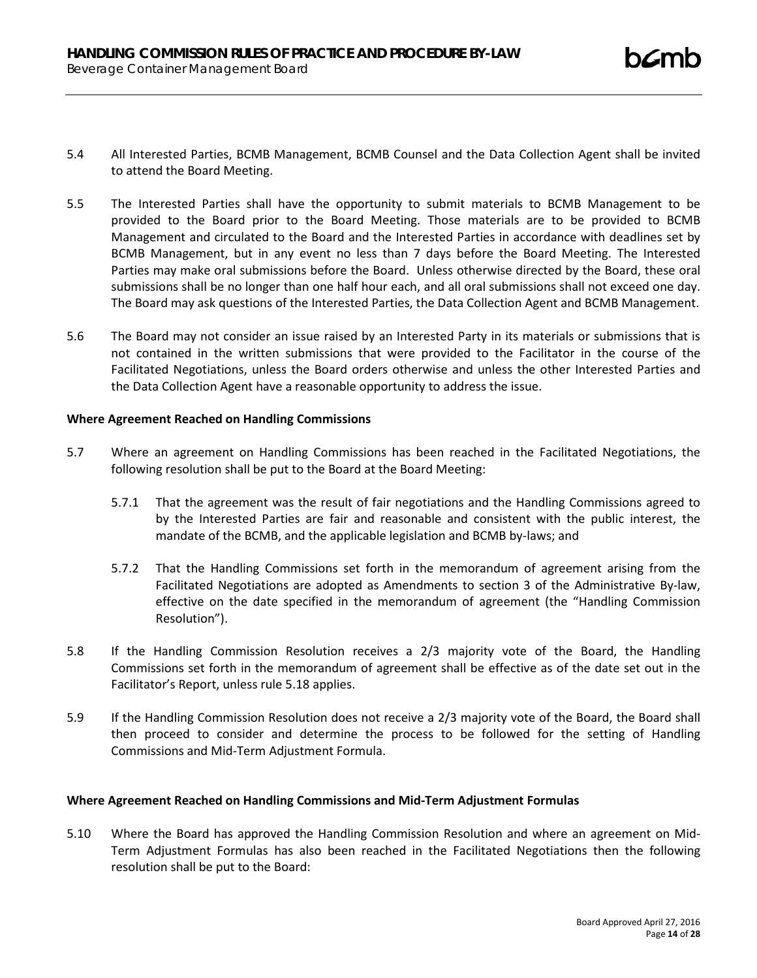- 5.4 All Interested Parties, BCMB Management, BCMB Counsel and the Data Collection Agent shall be invited to attend the Board Meeting.
- 5.5 The Interested Parties shall have the opportunity to submit materials to BCMB Management to be provided to the Board prior to the Board Meeting. Those materials are to be provided to BCMB Management and circulated to the Board and the Interested Parties in accordance with deadlines set by BCMB Management, but in any event no less than 7 days before the Board Meeting. The Interested Parties may make oral submissions before the Board. Unless otherwise directed by the Board, these oral submissions shall be no longer than one half hour each, and all oral submissions shall not exceed one day. The Board may ask questions of the Interested Parties, the Data Collection Agent and BCMB Management.
- 5.6 The Board may not consider an issue raised by an Interested Party in its materials or submissions that is not contained in the written submissions that were provided to the Facilitator in the course of the Facilitated Negotiations, unless the Board orders otherwise and unless the other Interested Parties and the Data Collection Agent have a reasonable opportunity to address the issue.

### **Where Agreement Reached on Handling Commissions**

- 5.7 Where an agreement on Handling Commissions has been reached in the Facilitated Negotiations, the following resolution shall be put to the Board at the Board Meeting:
	- 5.7.1 That the agreement was the result of fair negotiations and the Handling Commissions agreed to by the Interested Parties are fair and reasonable and consistent with the public interest, the mandate of the BCMB, and the applicable legislation and BCMB by-laws; and
	- 5.7.2 That the Handling Commissions set forth in the memorandum of agreement arising from the Facilitated Negotiations are adopted as Amendments to section 3 of the Administrative By-law, effective on the date specified in the memorandum of agreement (the "Handling Commission Resolution").
- 5.8 If the Handling Commission Resolution receives a 2/3 majority vote of the Board, the Handling Commissions set forth in the memorandum of agreement shall be effective as of the date set out in the Facilitator's Report, unless rule 5.18 applies.
- 5.9 If the Handling Commission Resolution does not receive a 2/3 majority vote of the Board, the Board shall then proceed to consider and determine the process to be followed for the setting of Handling Commissions and Mid-Term Adjustment Formula.

### **Where Agreement Reached on Handling Commissions and Mid-Term Adjustment Formulas**

5.10 Where the Board has approved the Handling Commission Resolution and where an agreement on Mid-Term Adjustment Formulas has also been reached in the Facilitated Negotiations then the following resolution shall be put to the Board: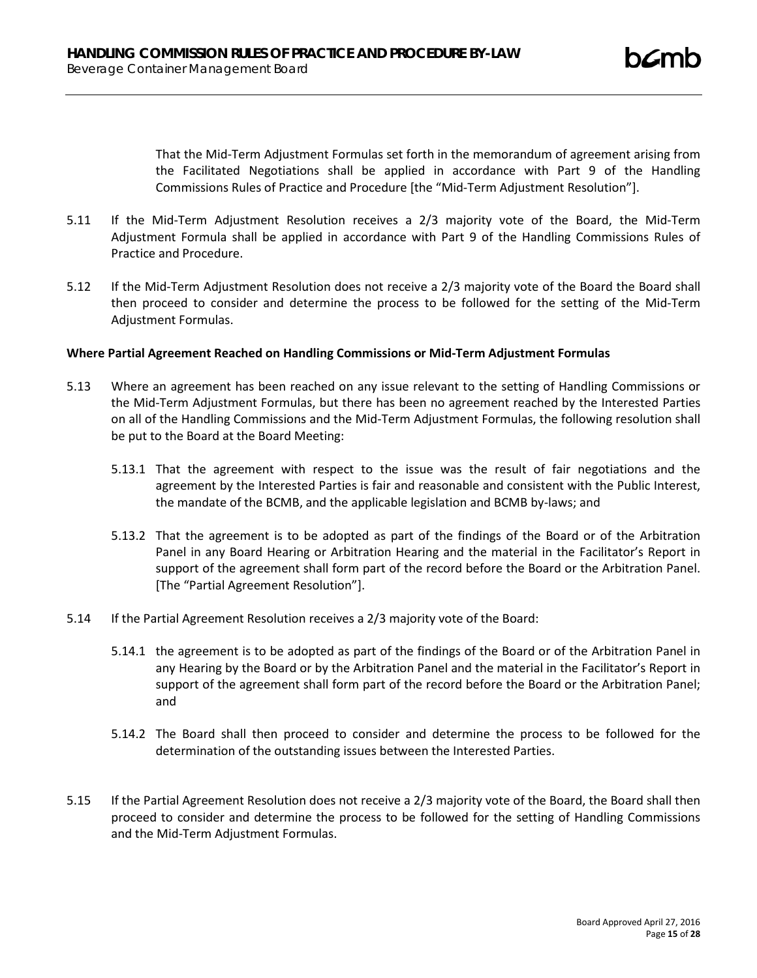That the Mid-Term Adjustment Formulas set forth in the memorandum of agreement arising from the Facilitated Negotiations shall be applied in accordance with Part 9 of the Handling Commissions Rules of Practice and Procedure [the "Mid-Term Adjustment Resolution"].

- 5.11 If the Mid-Term Adjustment Resolution receives a 2/3 majority vote of the Board, the Mid-Term Adjustment Formula shall be applied in accordance with Part 9 of the Handling Commissions Rules of Practice and Procedure.
- 5.12 If the Mid-Term Adjustment Resolution does not receive a 2/3 majority vote of the Board the Board shall then proceed to consider and determine the process to be followed for the setting of the Mid-Term Adjustment Formulas.

### **Where Partial Agreement Reached on Handling Commissions or Mid-Term Adjustment Formulas**

- 5.13 Where an agreement has been reached on any issue relevant to the setting of Handling Commissions or the Mid-Term Adjustment Formulas, but there has been no agreement reached by the Interested Parties on all of the Handling Commissions and the Mid-Term Adjustment Formulas, the following resolution shall be put to the Board at the Board Meeting:
	- 5.13.1 That the agreement with respect to the issue was the result of fair negotiations and the agreement by the Interested Parties is fair and reasonable and consistent with the Public Interest, the mandate of the BCMB, and the applicable legislation and BCMB by-laws; and
	- 5.13.2 That the agreement is to be adopted as part of the findings of the Board or of the Arbitration Panel in any Board Hearing or Arbitration Hearing and the material in the Facilitator's Report in support of the agreement shall form part of the record before the Board or the Arbitration Panel. [The "Partial Agreement Resolution"].
- 5.14 If the Partial Agreement Resolution receives a 2/3 majority vote of the Board:
	- 5.14.1 the agreement is to be adopted as part of the findings of the Board or of the Arbitration Panel in any Hearing by the Board or by the Arbitration Panel and the material in the Facilitator's Report in support of the agreement shall form part of the record before the Board or the Arbitration Panel; and
	- 5.14.2 The Board shall then proceed to consider and determine the process to be followed for the determination of the outstanding issues between the Interested Parties.
- 5.15 If the Partial Agreement Resolution does not receive a 2/3 majority vote of the Board, the Board shall then proceed to consider and determine the process to be followed for the setting of Handling Commissions and the Mid-Term Adjustment Formulas.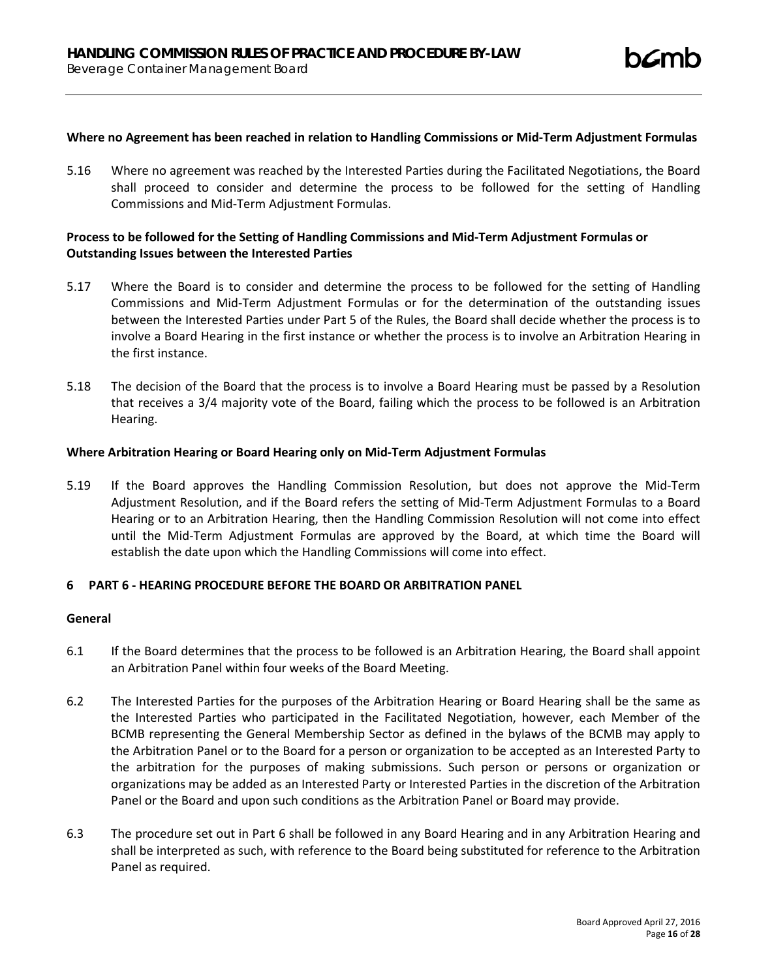# **Where no Agreement has been reached in relation to Handling Commissions or Mid-Term Adjustment Formulas**

5.16 Where no agreement was reached by the Interested Parties during the Facilitated Negotiations, the Board shall proceed to consider and determine the process to be followed for the setting of Handling Commissions and Mid-Term Adjustment Formulas.

# **Process to be followed for the Setting of Handling Commissions and Mid-Term Adjustment Formulas or Outstanding Issues between the Interested Parties**

- 5.17 Where the Board is to consider and determine the process to be followed for the setting of Handling Commissions and Mid-Term Adjustment Formulas or for the determination of the outstanding issues between the Interested Parties under Part 5 of the Rules, the Board shall decide whether the process is to involve a Board Hearing in the first instance or whether the process is to involve an Arbitration Hearing in the first instance.
- 5.18 The decision of the Board that the process is to involve a Board Hearing must be passed by a Resolution that receives a 3/4 majority vote of the Board, failing which the process to be followed is an Arbitration Hearing.

#### **Where Arbitration Hearing or Board Hearing only on Mid-Term Adjustment Formulas**

5.19 If the Board approves the Handling Commission Resolution, but does not approve the Mid-Term Adjustment Resolution, and if the Board refers the setting of Mid-Term Adjustment Formulas to a Board Hearing or to an Arbitration Hearing, then the Handling Commission Resolution will not come into effect until the Mid-Term Adjustment Formulas are approved by the Board, at which time the Board will establish the date upon which the Handling Commissions will come into effect.

## **6 PART 6 - HEARING PROCEDURE BEFORE THE BOARD OR ARBITRATION PANEL**

#### **General**

- 6.1 If the Board determines that the process to be followed is an Arbitration Hearing, the Board shall appoint an Arbitration Panel within four weeks of the Board Meeting.
- 6.2 The Interested Parties for the purposes of the Arbitration Hearing or Board Hearing shall be the same as the Interested Parties who participated in the Facilitated Negotiation, however, each Member of the BCMB representing the General Membership Sector as defined in the bylaws of the BCMB may apply to the Arbitration Panel or to the Board for a person or organization to be accepted as an Interested Party to the arbitration for the purposes of making submissions. Such person or persons or organization or organizations may be added as an Interested Party or Interested Parties in the discretion of the Arbitration Panel or the Board and upon such conditions as the Arbitration Panel or Board may provide.
- 6.3 The procedure set out in Part 6 shall be followed in any Board Hearing and in any Arbitration Hearing and shall be interpreted as such, with reference to the Board being substituted for reference to the Arbitration Panel as required.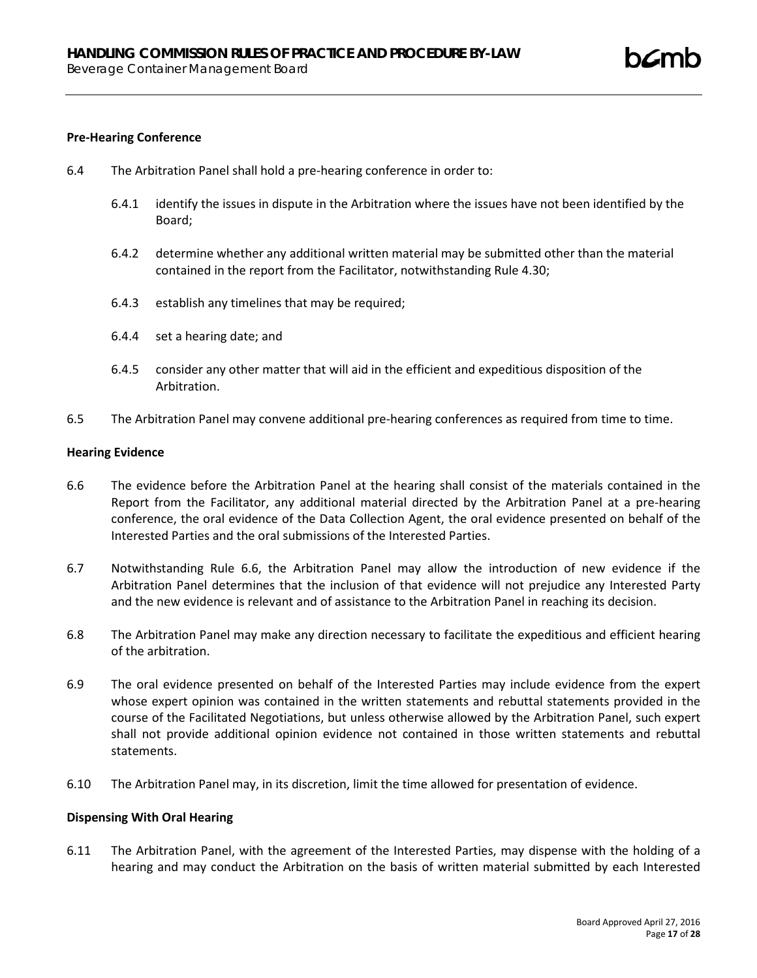### **Pre-Hearing Conference**

- 6.4 The Arbitration Panel shall hold a pre-hearing conference in order to:
	- 6.4.1 identify the issues in dispute in the Arbitration where the issues have not been identified by the Board;
	- 6.4.2 determine whether any additional written material may be submitted other than the material contained in the report from the Facilitator, notwithstanding Rule 4.30;
	- 6.4.3 establish any timelines that may be required;
	- 6.4.4 set a hearing date; and
	- 6.4.5 consider any other matter that will aid in the efficient and expeditious disposition of the Arbitration.
- 6.5 The Arbitration Panel may convene additional pre-hearing conferences as required from time to time.

#### **Hearing Evidence**

- 6.6 The evidence before the Arbitration Panel at the hearing shall consist of the materials contained in the Report from the Facilitator, any additional material directed by the Arbitration Panel at a pre-hearing conference, the oral evidence of the Data Collection Agent, the oral evidence presented on behalf of the Interested Parties and the oral submissions of the Interested Parties.
- 6.7 Notwithstanding Rule 6.6, the Arbitration Panel may allow the introduction of new evidence if the Arbitration Panel determines that the inclusion of that evidence will not prejudice any Interested Party and the new evidence is relevant and of assistance to the Arbitration Panel in reaching its decision.
- 6.8 The Arbitration Panel may make any direction necessary to facilitate the expeditious and efficient hearing of the arbitration.
- 6.9 The oral evidence presented on behalf of the Interested Parties may include evidence from the expert whose expert opinion was contained in the written statements and rebuttal statements provided in the course of the Facilitated Negotiations, but unless otherwise allowed by the Arbitration Panel, such expert shall not provide additional opinion evidence not contained in those written statements and rebuttal statements.
- 6.10 The Arbitration Panel may, in its discretion, limit the time allowed for presentation of evidence.

## **Dispensing With Oral Hearing**

6.11 The Arbitration Panel, with the agreement of the Interested Parties, may dispense with the holding of a hearing and may conduct the Arbitration on the basis of written material submitted by each Interested

**h***C*m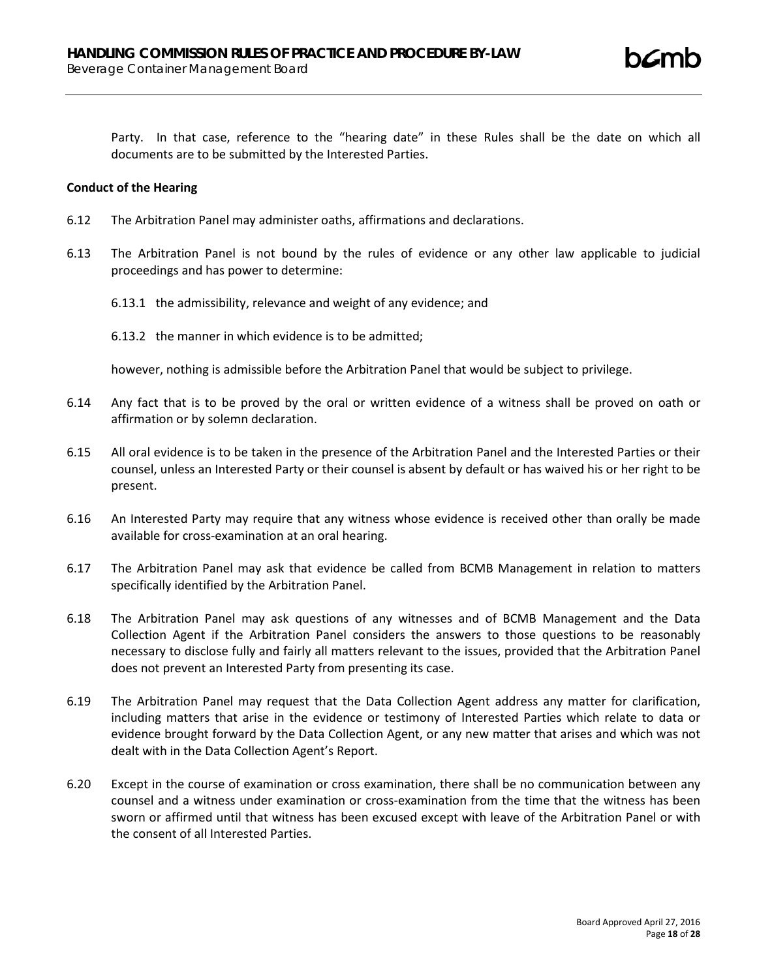Party. In that case, reference to the "hearing date" in these Rules shall be the date on which all documents are to be submitted by the Interested Parties.

#### **Conduct of the Hearing**

- 6.12 The Arbitration Panel may administer oaths, affirmations and declarations.
- 6.13 The Arbitration Panel is not bound by the rules of evidence or any other law applicable to judicial proceedings and has power to determine:
	- 6.13.1 the admissibility, relevance and weight of any evidence; and
	- 6.13.2 the manner in which evidence is to be admitted;

however, nothing is admissible before the Arbitration Panel that would be subject to privilege.

- 6.14 Any fact that is to be proved by the oral or written evidence of a witness shall be proved on oath or affirmation or by solemn declaration.
- 6.15 All oral evidence is to be taken in the presence of the Arbitration Panel and the Interested Parties or their counsel, unless an Interested Party or their counsel is absent by default or has waived his or her right to be present.
- 6.16 An Interested Party may require that any witness whose evidence is received other than orally be made available for cross-examination at an oral hearing.
- 6.17 The Arbitration Panel may ask that evidence be called from BCMB Management in relation to matters specifically identified by the Arbitration Panel.
- 6.18 The Arbitration Panel may ask questions of any witnesses and of BCMB Management and the Data Collection Agent if the Arbitration Panel considers the answers to those questions to be reasonably necessary to disclose fully and fairly all matters relevant to the issues, provided that the Arbitration Panel does not prevent an Interested Party from presenting its case.
- 6.19 The Arbitration Panel may request that the Data Collection Agent address any matter for clarification, including matters that arise in the evidence or testimony of Interested Parties which relate to data or evidence brought forward by the Data Collection Agent, or any new matter that arises and which was not dealt with in the Data Collection Agent's Report.
- 6.20 Except in the course of examination or cross examination, there shall be no communication between any counsel and a witness under examination or cross-examination from the time that the witness has been sworn or affirmed until that witness has been excused except with leave of the Arbitration Panel or with the consent of all Interested Parties.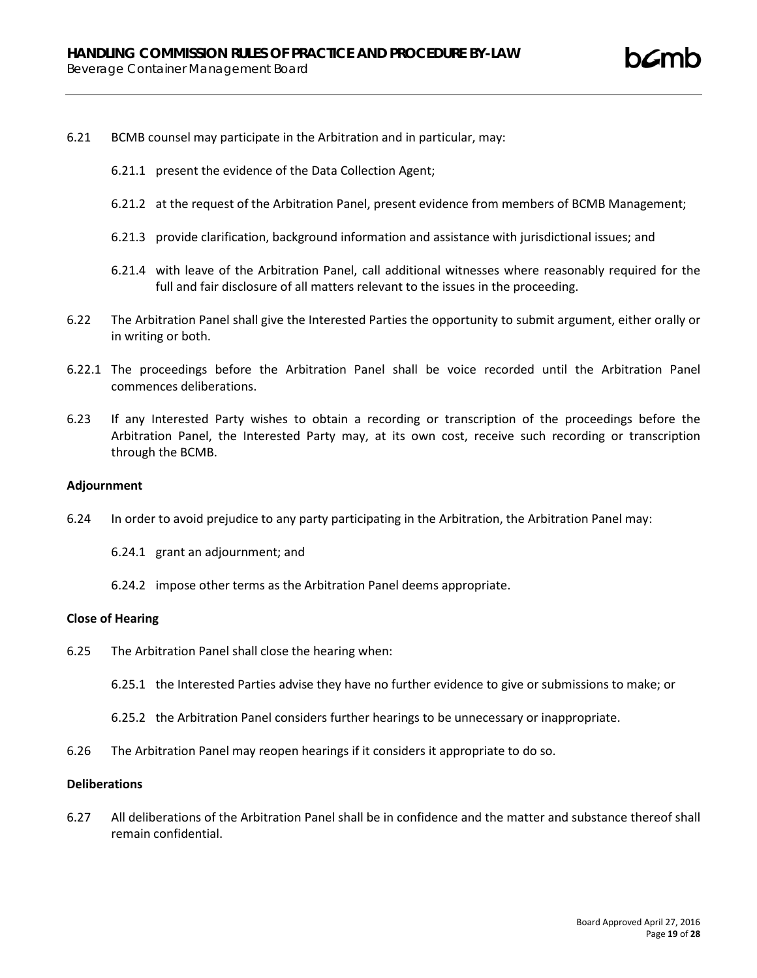- 6.21 BCMB counsel may participate in the Arbitration and in particular, may:
	- 6.21.1 present the evidence of the Data Collection Agent;
	- 6.21.2 at the request of the Arbitration Panel, present evidence from members of BCMB Management;
	- 6.21.3 provide clarification, background information and assistance with jurisdictional issues; and
	- 6.21.4 with leave of the Arbitration Panel, call additional witnesses where reasonably required for the full and fair disclosure of all matters relevant to the issues in the proceeding.
- 6.22 The Arbitration Panel shall give the Interested Parties the opportunity to submit argument, either orally or in writing or both.
- 6.22.1 The proceedings before the Arbitration Panel shall be voice recorded until the Arbitration Panel commences deliberations.
- 6.23 If any Interested Party wishes to obtain a recording or transcription of the proceedings before the Arbitration Panel, the Interested Party may, at its own cost, receive such recording or transcription through the BCMB.

#### **Adjournment**

- 6.24 In order to avoid prejudice to any party participating in the Arbitration, the Arbitration Panel may:
	- 6.24.1 grant an adjournment; and
	- 6.24.2 impose other terms as the Arbitration Panel deems appropriate.

#### **Close of Hearing**

- 6.25 The Arbitration Panel shall close the hearing when:
	- 6.25.1 the Interested Parties advise they have no further evidence to give or submissions to make; or
	- 6.25.2 the Arbitration Panel considers further hearings to be unnecessary or inappropriate.
- 6.26 The Arbitration Panel may reopen hearings if it considers it appropriate to do so.

## **Deliberations**

6.27 All deliberations of the Arbitration Panel shall be in confidence and the matter and substance thereof shall remain confidential.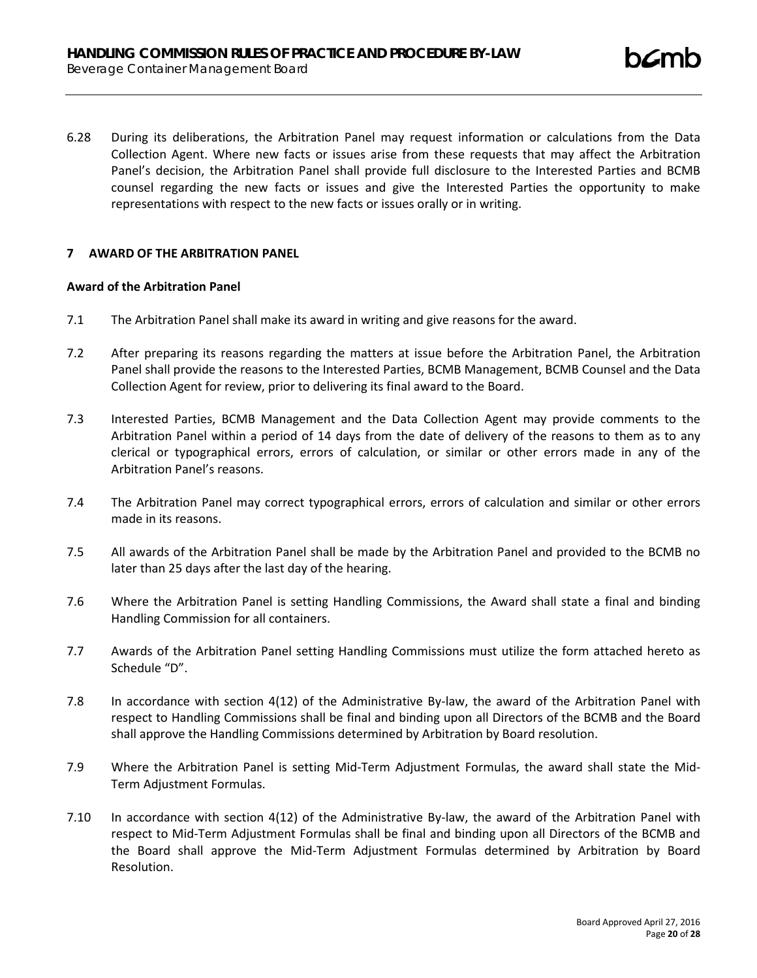6.28 During its deliberations, the Arbitration Panel may request information or calculations from the Data Collection Agent. Where new facts or issues arise from these requests that may affect the Arbitration Panel's decision, the Arbitration Panel shall provide full disclosure to the Interested Parties and BCMB counsel regarding the new facts or issues and give the Interested Parties the opportunity to make representations with respect to the new facts or issues orally or in writing.

## **7 AWARD OF THE ARBITRATION PANEL**

#### **Award of the Arbitration Panel**

- 7.1 The Arbitration Panel shall make its award in writing and give reasons for the award.
- 7.2 After preparing its reasons regarding the matters at issue before the Arbitration Panel, the Arbitration Panel shall provide the reasons to the Interested Parties, BCMB Management, BCMB Counsel and the Data Collection Agent for review, prior to delivering its final award to the Board.
- 7.3 Interested Parties, BCMB Management and the Data Collection Agent may provide comments to the Arbitration Panel within a period of 14 days from the date of delivery of the reasons to them as to any clerical or typographical errors, errors of calculation, or similar or other errors made in any of the Arbitration Panel's reasons.
- 7.4 The Arbitration Panel may correct typographical errors, errors of calculation and similar or other errors made in its reasons.
- 7.5 All awards of the Arbitration Panel shall be made by the Arbitration Panel and provided to the BCMB no later than 25 days after the last day of the hearing.
- 7.6 Where the Arbitration Panel is setting Handling Commissions, the Award shall state a final and binding Handling Commission for all containers.
- 7.7 Awards of the Arbitration Panel setting Handling Commissions must utilize the form attached hereto as Schedule "D".
- 7.8 In accordance with section 4(12) of the Administrative By-law, the award of the Arbitration Panel with respect to Handling Commissions shall be final and binding upon all Directors of the BCMB and the Board shall approve the Handling Commissions determined by Arbitration by Board resolution.
- 7.9 Where the Arbitration Panel is setting Mid-Term Adjustment Formulas, the award shall state the Mid-Term Adjustment Formulas.
- 7.10 In accordance with section 4(12) of the Administrative By-law, the award of the Arbitration Panel with respect to Mid-Term Adjustment Formulas shall be final and binding upon all Directors of the BCMB and the Board shall approve the Mid-Term Adjustment Formulas determined by Arbitration by Board Resolution.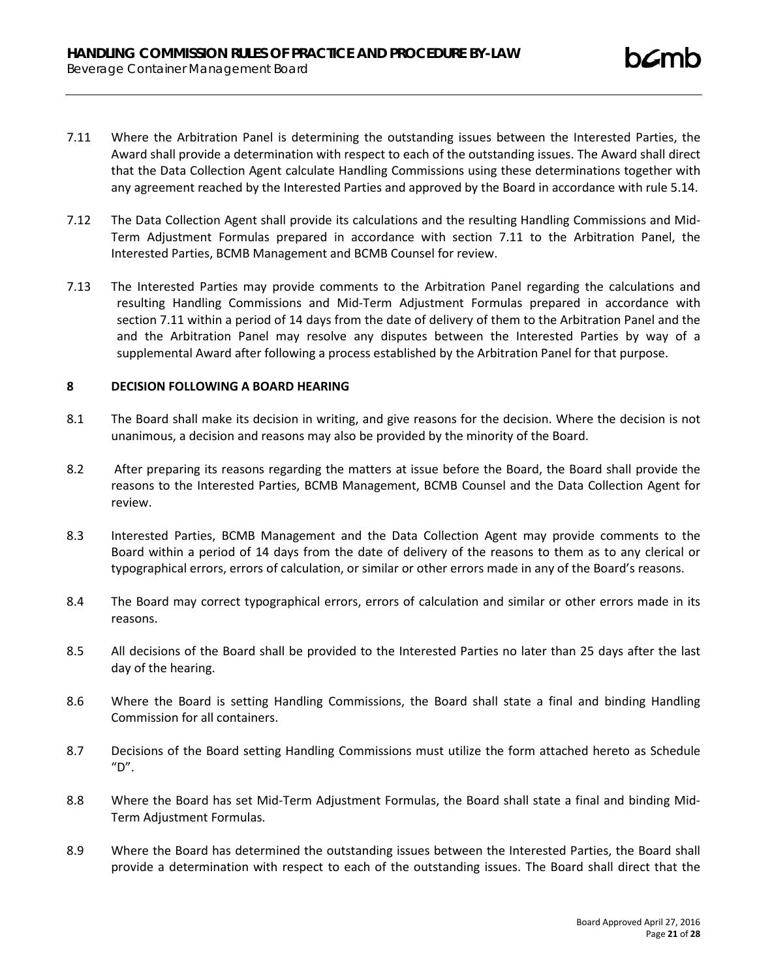- 7.11 Where the Arbitration Panel is determining the outstanding issues between the Interested Parties, the Award shall provide a determination with respect to each of the outstanding issues. The Award shall direct that the Data Collection Agent calculate Handling Commissions using these determinations together with any agreement reached by the Interested Parties and approved by the Board in accordance with rule 5.14.
- 7.12 The Data Collection Agent shall provide its calculations and the resulting Handling Commissions and Mid-Term Adjustment Formulas prepared in accordance with section 7.11 to the Arbitration Panel, the Interested Parties, BCMB Management and BCMB Counsel for review.
- 7.13 The Interested Parties may provide comments to the Arbitration Panel regarding the calculations and resulting Handling Commissions and Mid-Term Adjustment Formulas prepared in accordance with section 7.11 within a period of 14 days from the date of delivery of them to the Arbitration Panel and the and the Arbitration Panel may resolve any disputes between the Interested Parties by way of a supplemental Award after following a process established by the Arbitration Panel for that purpose.

# **8 DECISION FOLLOWING A BOARD HEARING**

- 8.1 The Board shall make its decision in writing, and give reasons for the decision. Where the decision is not unanimous, a decision and reasons may also be provided by the minority of the Board.
- 8.2 After preparing its reasons regarding the matters at issue before the Board, the Board shall provide the reasons to the Interested Parties, BCMB Management, BCMB Counsel and the Data Collection Agent for review.
- 8.3 Interested Parties, BCMB Management and the Data Collection Agent may provide comments to the Board within a period of 14 days from the date of delivery of the reasons to them as to any clerical or typographical errors, errors of calculation, or similar or other errors made in any of the Board's reasons.
- 8.4 The Board may correct typographical errors, errors of calculation and similar or other errors made in its reasons.
- 8.5 All decisions of the Board shall be provided to the Interested Parties no later than 25 days after the last day of the hearing.
- 8.6 Where the Board is setting Handling Commissions, the Board shall state a final and binding Handling Commission for all containers.
- 8.7 Decisions of the Board setting Handling Commissions must utilize the form attached hereto as Schedule  $"D".$
- 8.8 Where the Board has set Mid-Term Adjustment Formulas, the Board shall state a final and binding Mid-Term Adjustment Formulas.
- 8.9 Where the Board has determined the outstanding issues between the Interested Parties, the Board shall provide a determination with respect to each of the outstanding issues. The Board shall direct that the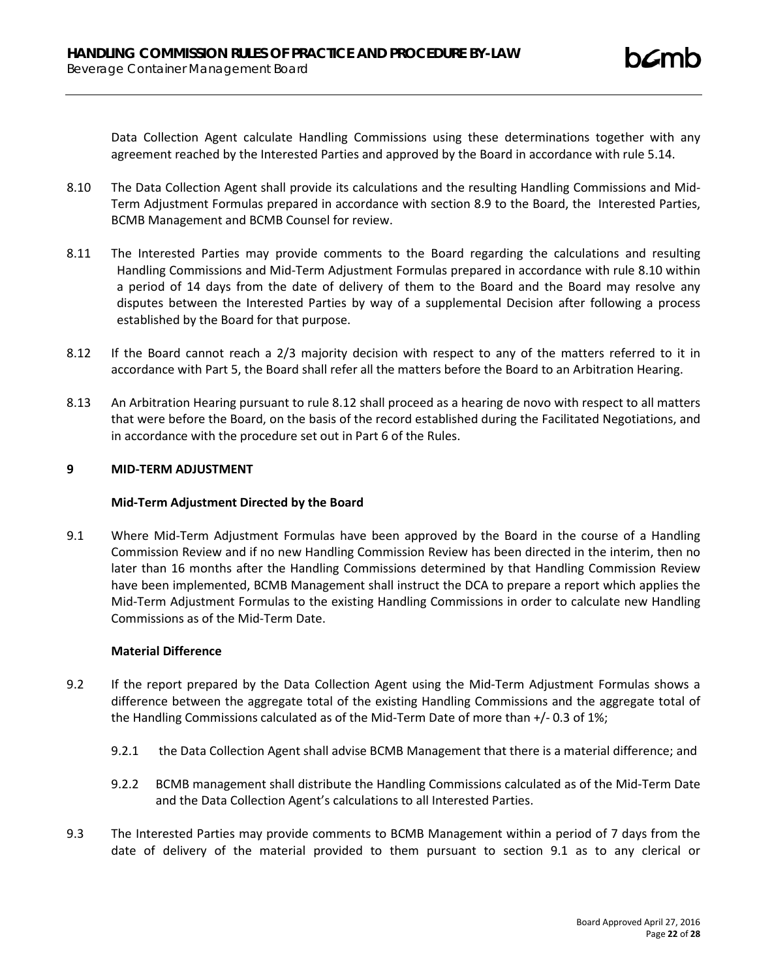Data Collection Agent calculate Handling Commissions using these determinations together with any agreement reached by the Interested Parties and approved by the Board in accordance with rule 5.14.

- 8.10 The Data Collection Agent shall provide its calculations and the resulting Handling Commissions and Mid-Term Adjustment Formulas prepared in accordance with section 8.9 to the Board, the Interested Parties, BCMB Management and BCMB Counsel for review.
- 8.11 The Interested Parties may provide comments to the Board regarding the calculations and resulting Handling Commissions and Mid-Term Adjustment Formulas prepared in accordance with rule 8.10 within a period of 14 days from the date of delivery of them to the Board and the Board may resolve any disputes between the Interested Parties by way of a supplemental Decision after following a process established by the Board for that purpose.
- 8.12 If the Board cannot reach a 2/3 majority decision with respect to any of the matters referred to it in accordance with Part 5, the Board shall refer all the matters before the Board to an Arbitration Hearing.
- 8.13 An Arbitration Hearing pursuant to rule 8.12 shall proceed as a hearing de novo with respect to all matters that were before the Board, on the basis of the record established during the Facilitated Negotiations, and in accordance with the procedure set out in Part 6 of the Rules.

## **9 MID-TERM ADJUSTMENT**

### **Mid-Term Adjustment Directed by the Board**

9.1 Where Mid-Term Adjustment Formulas have been approved by the Board in the course of a Handling Commission Review and if no new Handling Commission Review has been directed in the interim, then no later than 16 months after the Handling Commissions determined by that Handling Commission Review have been implemented, BCMB Management shall instruct the DCA to prepare a report which applies the Mid-Term Adjustment Formulas to the existing Handling Commissions in order to calculate new Handling Commissions as of the Mid-Term Date.

# **Material Difference**

- 9.2 If the report prepared by the Data Collection Agent using the Mid-Term Adjustment Formulas shows a difference between the aggregate total of the existing Handling Commissions and the aggregate total of the Handling Commissions calculated as of the Mid-Term Date of more than +/- 0.3 of 1%;
	- 9.2.1 the Data Collection Agent shall advise BCMB Management that there is a material difference; and
	- 9.2.2 BCMB management shall distribute the Handling Commissions calculated as of the Mid-Term Date and the Data Collection Agent's calculations to all Interested Parties.
- 9.3 The Interested Parties may provide comments to BCMB Management within a period of 7 days from the date of delivery of the material provided to them pursuant to section 9.1 as to any clerical or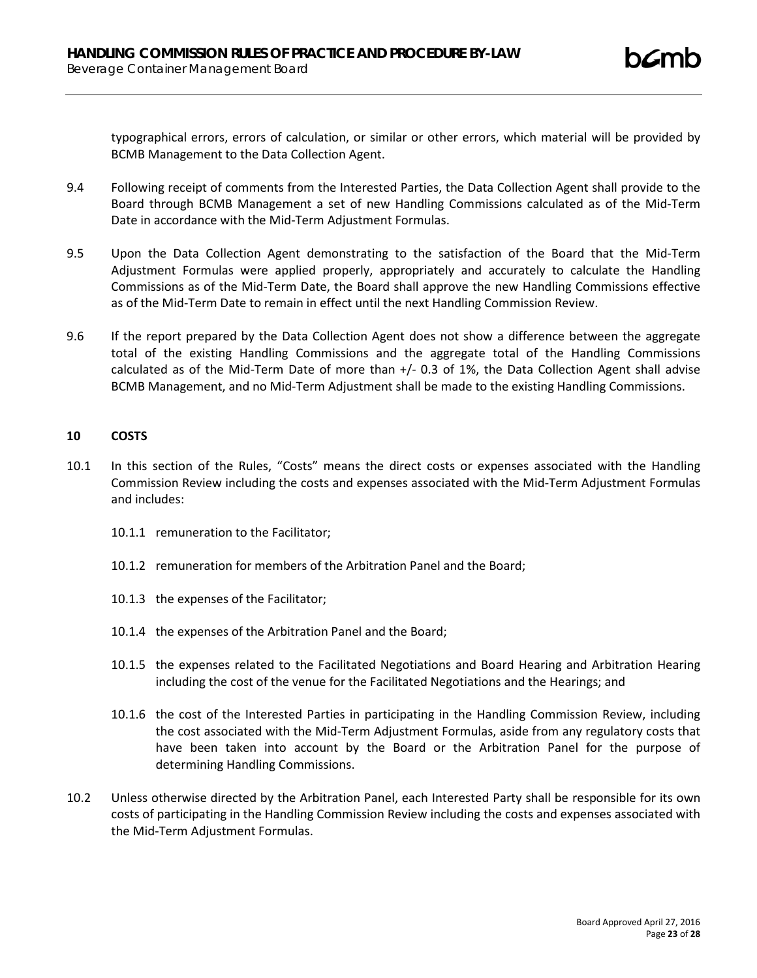typographical errors, errors of calculation, or similar or other errors, which material will be provided by BCMB Management to the Data Collection Agent.

- 9.4 Following receipt of comments from the Interested Parties, the Data Collection Agent shall provide to the Board through BCMB Management a set of new Handling Commissions calculated as of the Mid-Term Date in accordance with the Mid-Term Adjustment Formulas.
- 9.5 Upon the Data Collection Agent demonstrating to the satisfaction of the Board that the Mid-Term Adjustment Formulas were applied properly, appropriately and accurately to calculate the Handling Commissions as of the Mid-Term Date, the Board shall approve the new Handling Commissions effective as of the Mid-Term Date to remain in effect until the next Handling Commission Review.
- 9.6 If the report prepared by the Data Collection Agent does not show a difference between the aggregate total of the existing Handling Commissions and the aggregate total of the Handling Commissions calculated as of the Mid-Term Date of more than +/- 0.3 of 1%, the Data Collection Agent shall advise BCMB Management, and no Mid-Term Adjustment shall be made to the existing Handling Commissions.

## **10 COSTS**

- 10.1 In this section of the Rules, "Costs" means the direct costs or expenses associated with the Handling Commission Review including the costs and expenses associated with the Mid-Term Adjustment Formulas and includes:
	- 10.1.1 remuneration to the Facilitator;
	- 10.1.2 remuneration for members of the Arbitration Panel and the Board;
	- 10.1.3 the expenses of the Facilitator;
	- 10.1.4 the expenses of the Arbitration Panel and the Board;
	- 10.1.5 the expenses related to the Facilitated Negotiations and Board Hearing and Arbitration Hearing including the cost of the venue for the Facilitated Negotiations and the Hearings; and
	- 10.1.6 the cost of the Interested Parties in participating in the Handling Commission Review, including the cost associated with the Mid-Term Adjustment Formulas, aside from any regulatory costs that have been taken into account by the Board or the Arbitration Panel for the purpose of determining Handling Commissions.
- 10.2 Unless otherwise directed by the Arbitration Panel, each Interested Party shall be responsible for its own costs of participating in the Handling Commission Review including the costs and expenses associated with the Mid-Term Adjustment Formulas.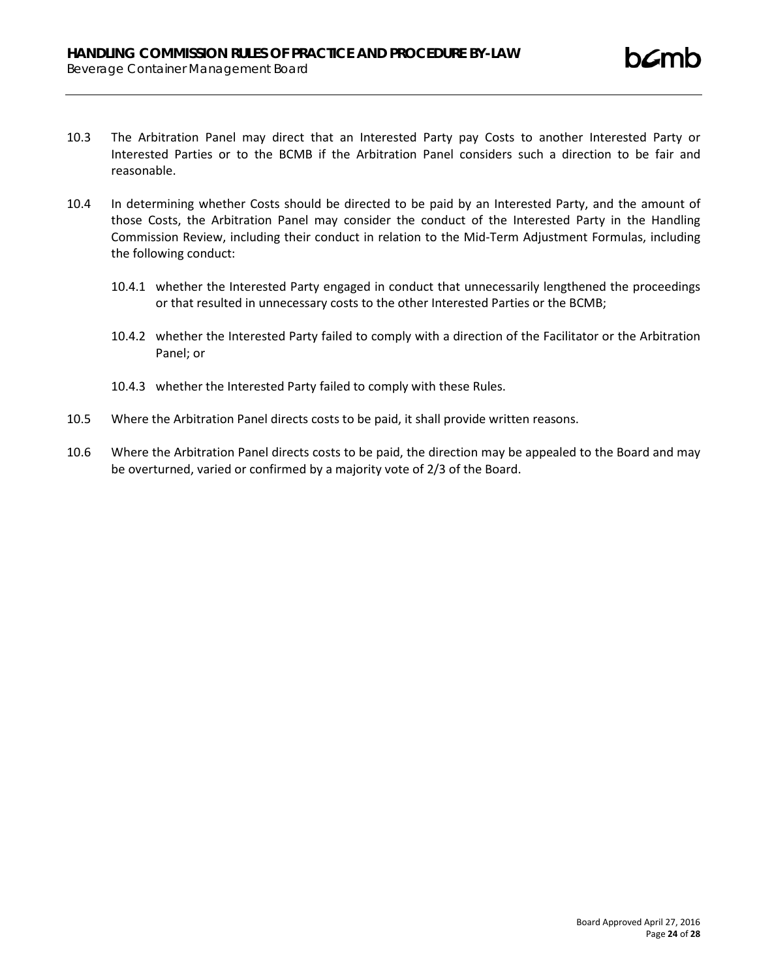- 10.3 The Arbitration Panel may direct that an Interested Party pay Costs to another Interested Party or Interested Parties or to the BCMB if the Arbitration Panel considers such a direction to be fair and reasonable.
- 10.4 In determining whether Costs should be directed to be paid by an Interested Party, and the amount of those Costs, the Arbitration Panel may consider the conduct of the Interested Party in the Handling Commission Review, including their conduct in relation to the Mid-Term Adjustment Formulas, including the following conduct:
	- 10.4.1 whether the Interested Party engaged in conduct that unnecessarily lengthened the proceedings or that resulted in unnecessary costs to the other Interested Parties or the BCMB;
	- 10.4.2 whether the Interested Party failed to comply with a direction of the Facilitator or the Arbitration Panel; or
	- 10.4.3 whether the Interested Party failed to comply with these Rules.
- 10.5 Where the Arbitration Panel directs costs to be paid, it shall provide written reasons.
- 10.6 Where the Arbitration Panel directs costs to be paid, the direction may be appealed to the Board and may be overturned, varied or confirmed by a majority vote of 2/3 of the Board.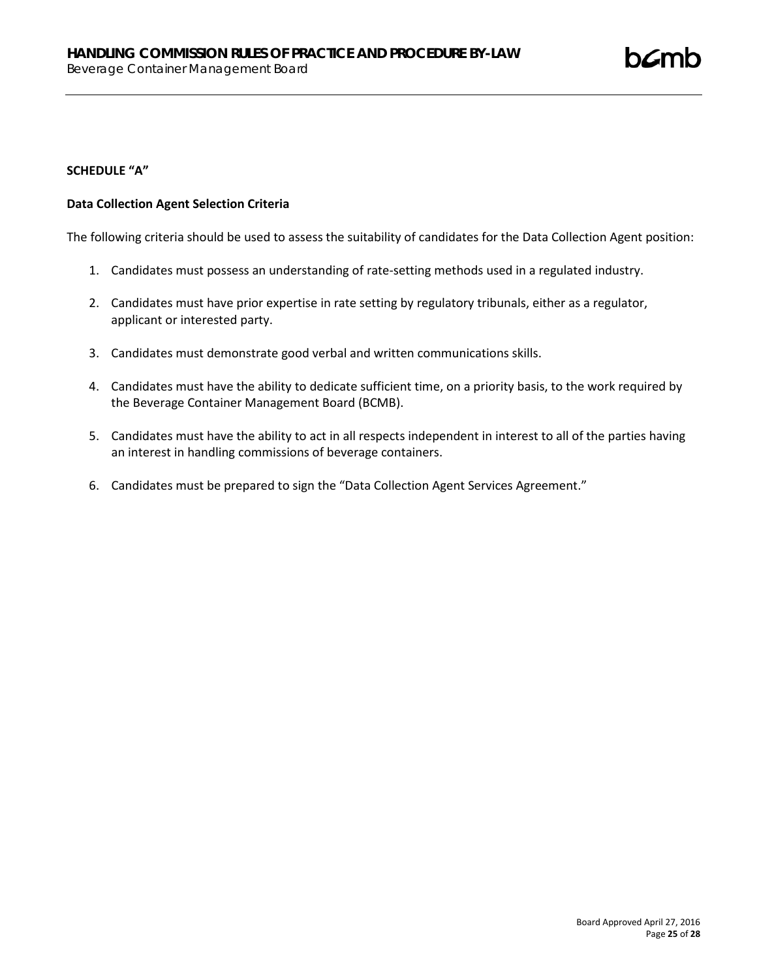# **SCHEDULE "A"**

# **Data Collection Agent Selection Criteria**

The following criteria should be used to assess the suitability of candidates for the Data Collection Agent position:

- 1. Candidates must possess an understanding of rate-setting methods used in a regulated industry.
- 2. Candidates must have prior expertise in rate setting by regulatory tribunals, either as a regulator, applicant or interested party.
- 3. Candidates must demonstrate good verbal and written communications skills.
- 4. Candidates must have the ability to dedicate sufficient time, on a priority basis, to the work required by the Beverage Container Management Board (BCMB).
- 5. Candidates must have the ability to act in all respects independent in interest to all of the parties having an interest in handling commissions of beverage containers.
- 6. Candidates must be prepared to sign the "Data Collection Agent Services Agreement."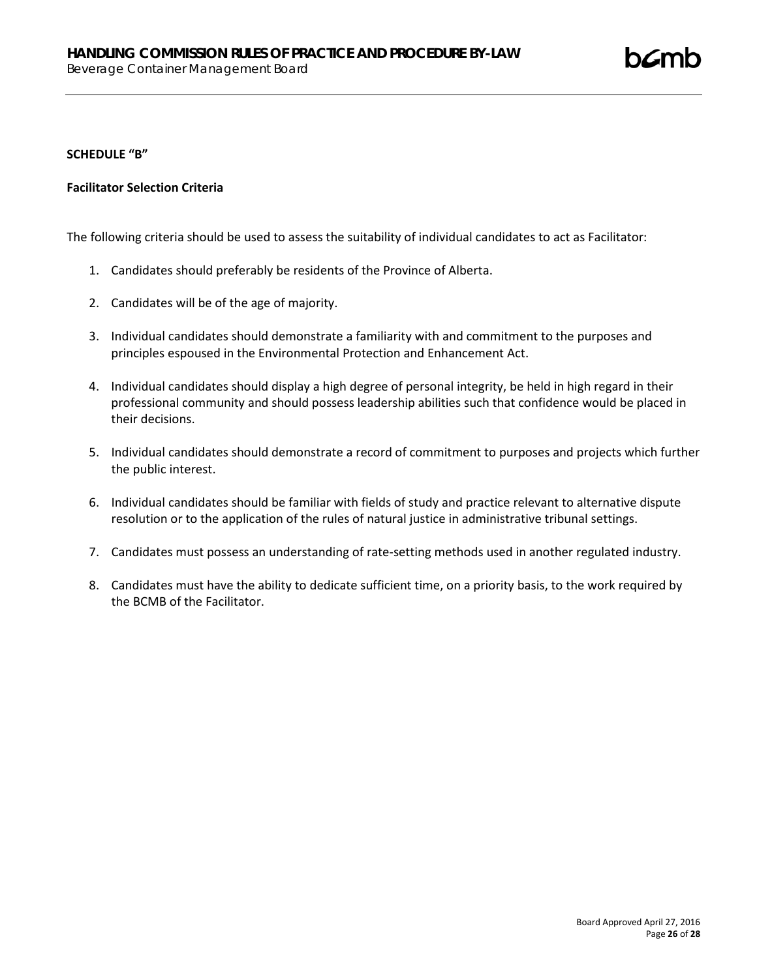## **SCHEDULE "B"**

## **Facilitator Selection Criteria**

The following criteria should be used to assess the suitability of individual candidates to act as Facilitator:

- 1. Candidates should preferably be residents of the Province of Alberta.
- 2. Candidates will be of the age of majority.
- 3. Individual candidates should demonstrate a familiarity with and commitment to the purposes and principles espoused in the Environmental Protection and Enhancement Act.
- 4. Individual candidates should display a high degree of personal integrity, be held in high regard in their professional community and should possess leadership abilities such that confidence would be placed in their decisions.
- 5. Individual candidates should demonstrate a record of commitment to purposes and projects which further the public interest.
- 6. Individual candidates should be familiar with fields of study and practice relevant to alternative dispute resolution or to the application of the rules of natural justice in administrative tribunal settings.
- 7. Candidates must possess an understanding of rate-setting methods used in another regulated industry.
- 8. Candidates must have the ability to dedicate sufficient time, on a priority basis, to the work required by the BCMB of the Facilitator.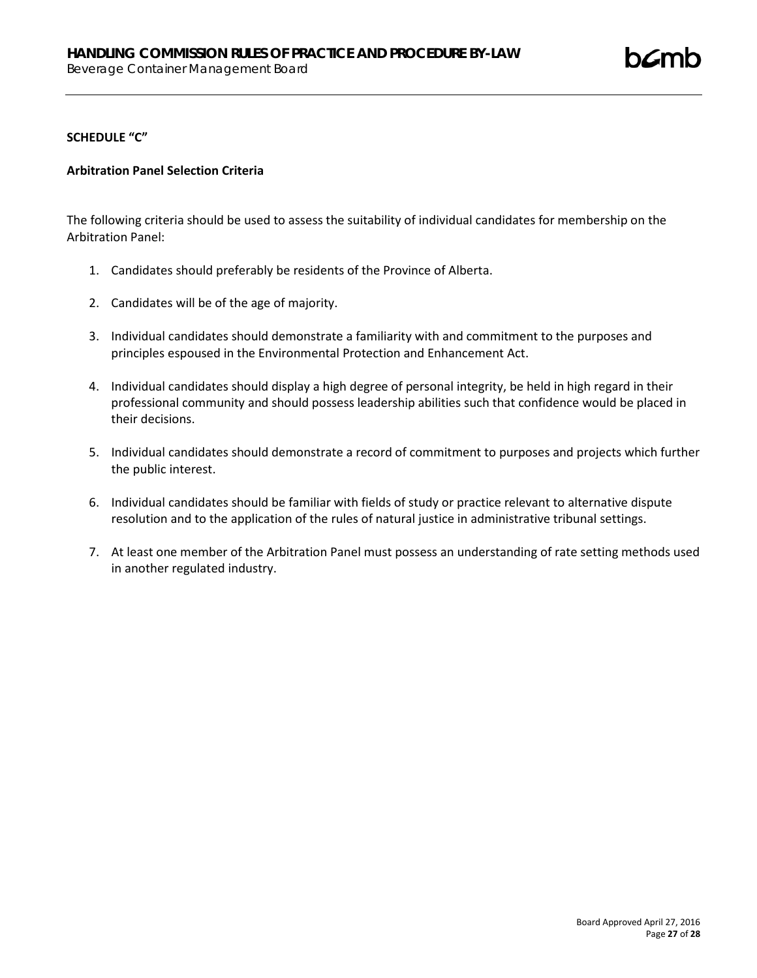### **SCHEDULE "C"**

## **Arbitration Panel Selection Criteria**

The following criteria should be used to assess the suitability of individual candidates for membership on the Arbitration Panel:

- 1. Candidates should preferably be residents of the Province of Alberta.
- 2. Candidates will be of the age of majority.
- 3. Individual candidates should demonstrate a familiarity with and commitment to the purposes and principles espoused in the Environmental Protection and Enhancement Act.
- 4. Individual candidates should display a high degree of personal integrity, be held in high regard in their professional community and should possess leadership abilities such that confidence would be placed in their decisions.
- 5. Individual candidates should demonstrate a record of commitment to purposes and projects which further the public interest.
- 6. Individual candidates should be familiar with fields of study or practice relevant to alternative dispute resolution and to the application of the rules of natural justice in administrative tribunal settings.
- 7. At least one member of the Arbitration Panel must possess an understanding of rate setting methods used in another regulated industry.